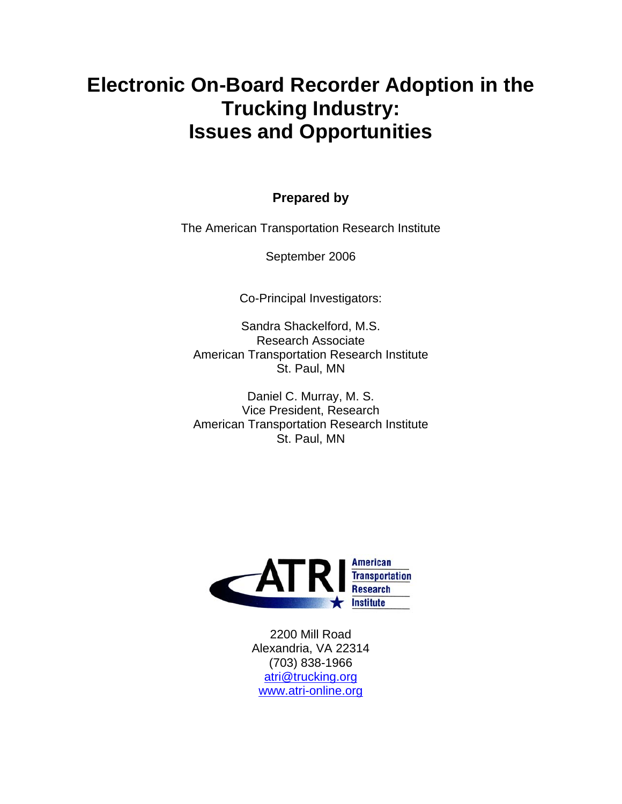# **Electronic On-Board Recorder Adoption in the Trucking Industry: Issues and Opportunities**

### **Prepared by**

The American Transportation Research Institute

September 2006

Co-Principal Investigators:

Sandra Shackelford, M.S. Research Associate American Transportation Research Institute St. Paul, MN

Daniel C. Murray, M. S. Vice President, Research American Transportation Research Institute St. Paul, MN



2200 Mill Road Alexandria, VA 22314 (703) 838-1966 atri@trucking.org www.atri-online.org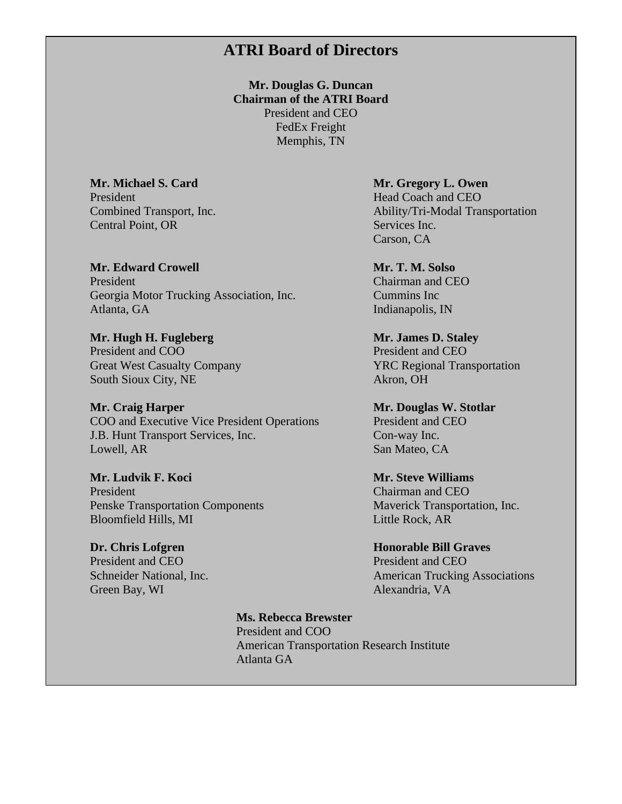### **ATRI Board of Directors**

**Mr. Douglas G. Duncan Chairman of the ATRI Board**  President and CEO FedEx Freight Memphis, TN

President Head Coach and CEO<br>
Combined Transport, Inc. Ability/Tri-Modal Transport, Inc. Central Point, OR Services Inc.

**Mr. Edward Crowell Mr. T. M. Solso** *Mr. T. M. Solso**Mr. T. M. Solso* **President** Chairman and CEO Georgia Motor Trucking Association, Inc. Cummins Inc Atlanta, GA Indianapolis, IN

**Mr. Hugh H. Fugleberg Mr. James D. Staley** President and COO President and CEO South Sioux City, NE Akron, OH

**Mr. Craig Harper Mr. Douglas W. Stotlar** COO and Executive Vice President Operations President and CEO J.B. Hunt Transport Services, Inc. Con-way Inc. Lowell, AR San Mateo, CA

**Mr. Ludvik F. Koci Mr. Steve Williams President** Chairman and CEO Penske Transportation Components Maverick Transportation, Inc. Bloomfield Hills, MI Little Rock, AR

**Dr. Chris Lofgren Honorable Bill Graves** President and CEO President and CEO Green Bay, WI Alexandria, VA

**Mr. Michael S. Card Mr. Gregory L. Owen**  Ability/Tri-Modal Transportation Carson, CA

Great West Casualty Company **YRC Regional Transportation** 

Schneider National, Inc. **American Trucking Associations** 

 **Ms. Rebecca Brewster**  President and COO American Transportation Research Institute Atlanta GA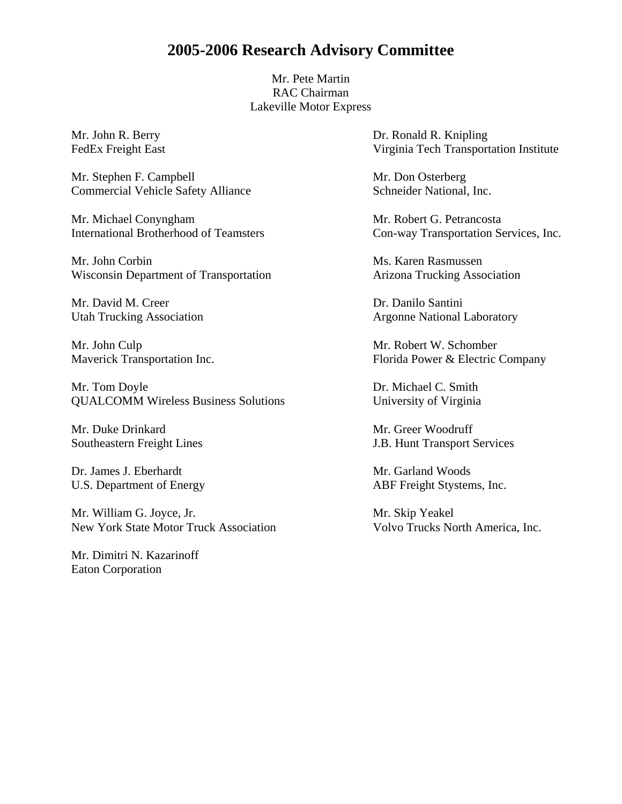### **2005-2006 Research Advisory Committee**

Mr. Pete Martin RAC Chairman Lakeville Motor Express

Mr. Stephen F. Campbell Mr. Don Osterberg Commercial Vehicle Safety Alliance Schneider National, Inc.

Mr. Michael Conyngham Mr. Robert G. Petrancosta International Brotherhood of Teamsters Con-way Transportation Services, Inc.

Mr. John Corbin Ms. Karen Rasmussen Wisconsin Department of Transportation Arizona Trucking Association

Mr. David M. Creer **Dr. Danilo Santini** 

Mr. John Culp Mr. Robert W. Schomber

Mr. Tom Doyle **Dr. Michael C. Smith** QUALCOMM Wireless Business Solutions University of Virginia

Mr. Duke Drinkard Mr. Greer Woodruff

Dr. James J. Eberhardt Mr. Garland Woods

Mr. William G. Joyce, Jr. Mr. Skip Yeakel New York State Motor Truck Association Volvo Trucks North America, Inc.

Mr. Dimitri N. Kazarinoff Eaton Corporation

Mr. John R. Berry Dr. Ronald R. Knipling FedEx Freight East Virginia Tech Transportation Institute

Utah Trucking Association **Argonne National Laboratory** Argonne National Laboratory

Maverick Transportation Inc. Florida Power & Electric Company

Southeastern Freight Lines J.B. Hunt Transport Services

U.S. Department of Energy ABF Freight Stystems, Inc.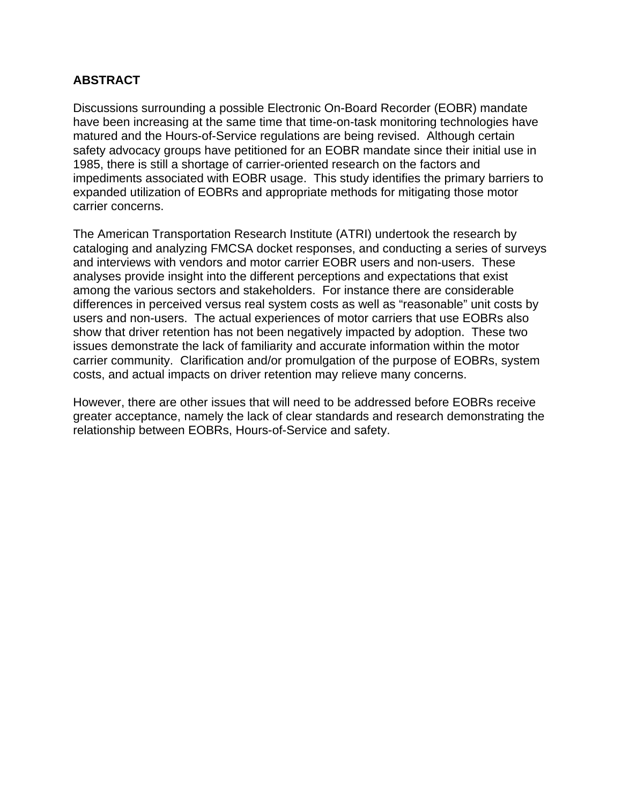#### **ABSTRACT**

Discussions surrounding a possible Electronic On-Board Recorder (EOBR) mandate have been increasing at the same time that time-on-task monitoring technologies have matured and the Hours-of-Service regulations are being revised. Although certain safety advocacy groups have petitioned for an EOBR mandate since their initial use in 1985, there is still a shortage of carrier-oriented research on the factors and impediments associated with EOBR usage. This study identifies the primary barriers to expanded utilization of EOBRs and appropriate methods for mitigating those motor carrier concerns.

The American Transportation Research Institute (ATRI) undertook the research by cataloging and analyzing FMCSA docket responses, and conducting a series of surveys and interviews with vendors and motor carrier EOBR users and non-users. These analyses provide insight into the different perceptions and expectations that exist among the various sectors and stakeholders. For instance there are considerable differences in perceived versus real system costs as well as "reasonable" unit costs by users and non-users. The actual experiences of motor carriers that use EOBRs also show that driver retention has not been negatively impacted by adoption. These two issues demonstrate the lack of familiarity and accurate information within the motor carrier community. Clarification and/or promulgation of the purpose of EOBRs, system costs, and actual impacts on driver retention may relieve many concerns.

However, there are other issues that will need to be addressed before EOBRs receive greater acceptance, namely the lack of clear standards and research demonstrating the relationship between EOBRs, Hours-of-Service and safety.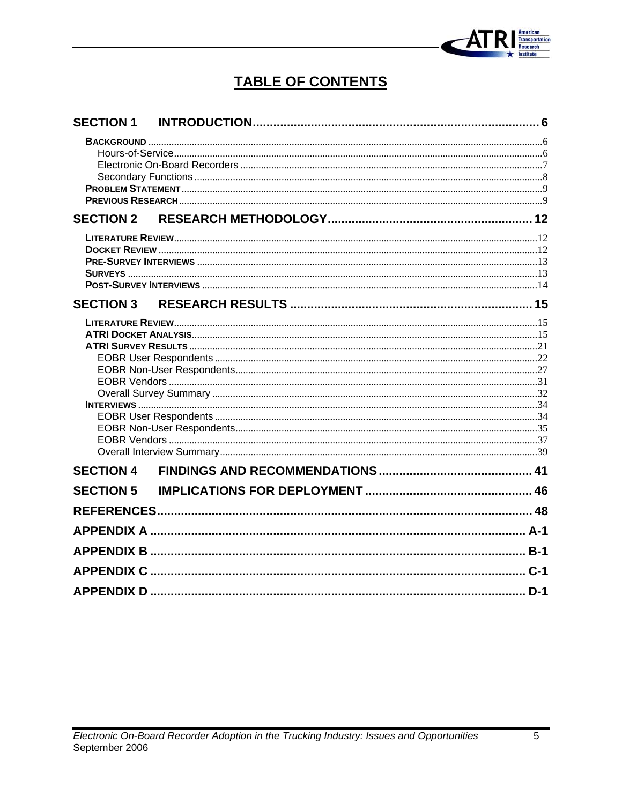

# **TABLE OF CONTENTS**

| <b>SECTION 1</b> |  |
|------------------|--|
|                  |  |
|                  |  |
|                  |  |
|                  |  |
| <b>SECTION 2</b> |  |
|                  |  |
|                  |  |
|                  |  |
|                  |  |
|                  |  |
|                  |  |
|                  |  |
|                  |  |
|                  |  |
|                  |  |
|                  |  |
|                  |  |
|                  |  |
|                  |  |
|                  |  |
|                  |  |
| <b>SECTION 4</b> |  |
| <b>SECTION 5</b> |  |
|                  |  |
|                  |  |
|                  |  |
|                  |  |
|                  |  |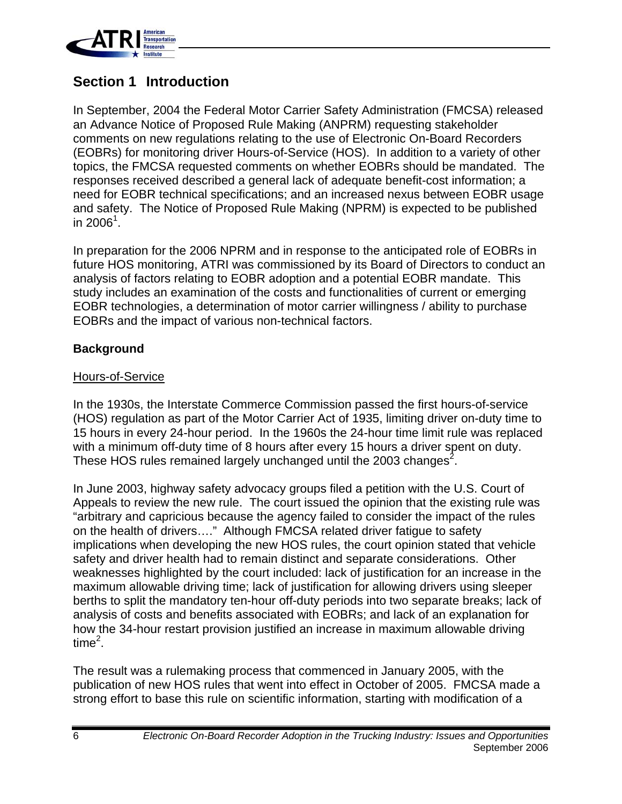

### **Section 1 Introduction**

In September, 2004 the Federal Motor Carrier Safety Administration (FMCSA) released an Advance Notice of Proposed Rule Making (ANPRM) requesting stakeholder comments on new regulations relating to the use of Electronic On-Board Recorders (EOBRs) for monitoring driver Hours-of-Service (HOS). In addition to a variety of other topics, the FMCSA requested comments on whether EOBRs should be mandated. The responses received described a general lack of adequate benefit-cost information; a need for EOBR technical specifications; and an increased nexus between EOBR usage and safety. The Notice of Proposed Rule Making (NPRM) is expected to be published in 2006 $^{\rm 1}$ . $^{\rm \cdot}$ 

In preparation for the 2006 NPRM and in response to the anticipated role of EOBRs in future HOS monitoring, ATRI was commissioned by its Board of Directors to conduct an analysis of factors relating to EOBR adoption and a potential EOBR mandate. This study includes an examination of the costs and functionalities of current or emerging EOBR technologies, a determination of motor carrier willingness / ability to purchase EOBRs and the impact of various non-technical factors.

#### **Background**

#### Hours-of-Service

In the 1930s, the Interstate Commerce Commission passed the first hours-of-service (HOS) regulation as part of the Motor Carrier Act of 1935, limiting driver on-duty time to 15 hours in every 24-hour period. In the 1960s the 24-hour time limit rule was replaced with a minimum off-duty time of 8 hours after every 15 hours a driver spent on duty. These HOS rules remained largely unchanged until the 2003 changes<sup>2</sup>.

In June 2003, highway safety advocacy groups filed a petition with the U.S. Court of Appeals to review the new rule. The court issued the opinion that the existing rule was "arbitrary and capricious because the agency failed to consider the impact of the rules on the health of drivers…." Although FMCSA related driver fatigue to safety implications when developing the new HOS rules, the court opinion stated that vehicle safety and driver health had to remain distinct and separate considerations. Other weaknesses highlighted by the court included: lack of justification for an increase in the maximum allowable driving time; lack of justification for allowing drivers using sleeper berths to split the mandatory ten-hour off-duty periods into two separate breaks; lack of analysis of costs and benefits associated with EOBRs; and lack of an explanation for how the 34-hour restart provision justified an increase in maximum allowable driving time $^2$ .

The result was a rulemaking process that commenced in January 2005, with the publication of new HOS rules that went into effect in October of 2005. FMCSA made a strong effort to base this rule on scientific information, starting with modification of a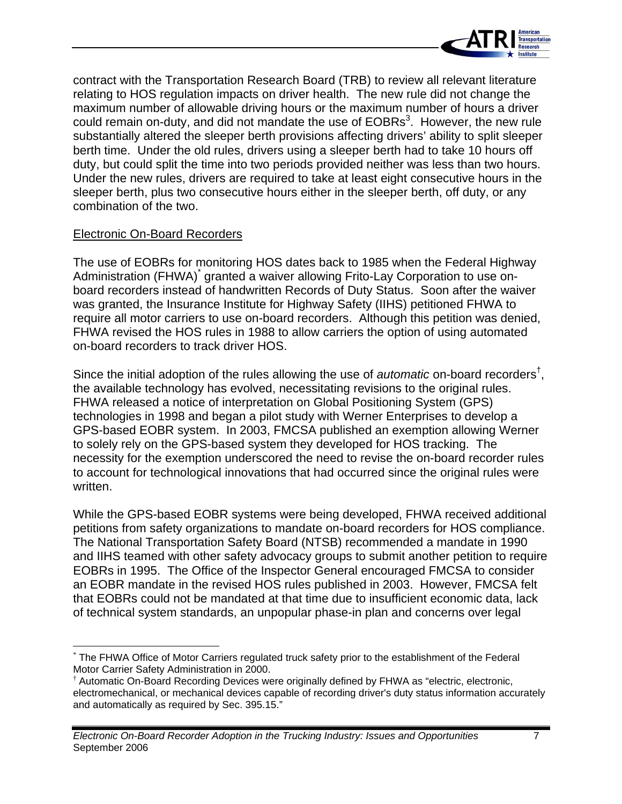

contract with the Transportation Research Board (TRB) to review all relevant literature relating to HOS regulation impacts on driver health. The new rule did not change the maximum number of allowable driving hours or the maximum number of hours a driver could remain on-duty, and did not mandate the use of  $EOBRs<sup>3</sup>$ . However, the new rule substantially altered the sleeper berth provisions affecting drivers' ability to split sleeper berth time. Under the old rules, drivers using a sleeper berth had to take 10 hours off duty, but could split the time into two periods provided neither was less than two hours. Under the new rules, drivers are required to take at least eight consecutive hours in the sleeper berth, plus two consecutive hours either in the sleeper berth, off duty, or any combination of the two.

#### Electronic On-Board Recorders

The use of EOBRs for monitoring HOS dates back to 1985 when the Federal Highway Administration (FHWA)<sup>\*</sup> granted a waiver allowing Frito-Lay Corporation to use onboard recorders instead of handwritten Records of Duty Status. Soon after the waiver was granted, the Insurance Institute for Highway Safety (IIHS) petitioned FHWA to require all motor carriers to use on-board recorders. Although this petition was denied, FHWA revised the HOS rules in 1988 to allow carriers the option of using automated on-board recorders to track driver HOS.

Since the initial adoption of the rules allowing the use of *automatic* on-board recorders† , the available technology has evolved, necessitating revisions to the original rules. FHWA released a notice of interpretation on Global Positioning System (GPS) technologies in 1998 and began a pilot study with Werner Enterprises to develop a GPS-based EOBR system. In 2003, FMCSA published an exemption allowing Werner to solely rely on the GPS-based system they developed for HOS tracking. The necessity for the exemption underscored the need to revise the on-board recorder rules to account for technological innovations that had occurred since the original rules were written.

While the GPS-based EOBR systems were being developed, FHWA received additional petitions from safety organizations to mandate on-board recorders for HOS compliance. The National Transportation Safety Board (NTSB) recommended a mandate in 1990 and IIHS teamed with other safety advocacy groups to submit another petition to require EOBRs in 1995. The Office of the Inspector General encouraged FMCSA to consider an EOBR mandate in the revised HOS rules published in 2003. However, FMCSA felt that EOBRs could not be mandated at that time due to insufficient economic data, lack of technical system standards, an unpopular phase-in plan and concerns over legal

<sup>\*</sup> The FHWA Office of Motor Carriers regulated truck safety prior to the establishment of the Federal Motor Carrier Safety Administration in 2000.

<sup>†</sup> Automatic On-Board Recording Devices were originally defined by FHWA as "electric, electronic, electromechanical, or mechanical devices capable of recording driver's duty status information accurately and automatically as required by Sec. 395.15."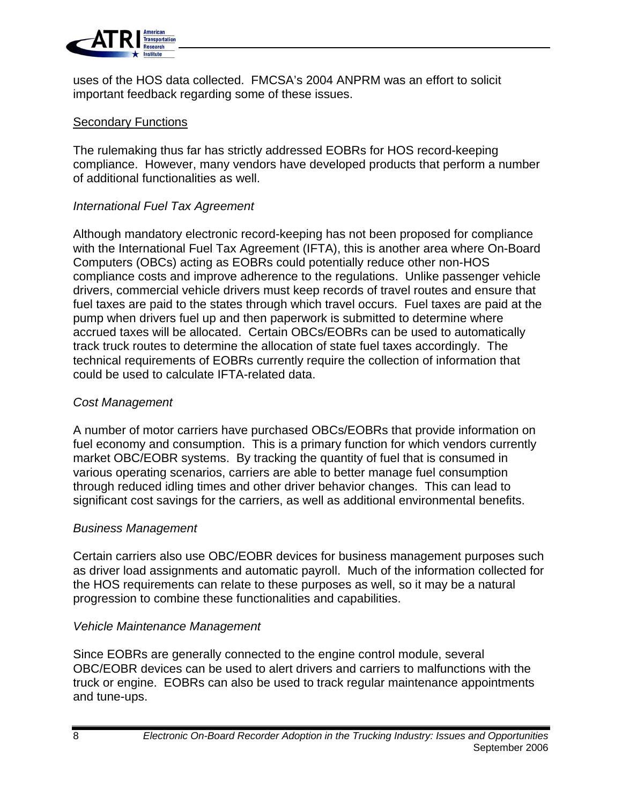

uses of the HOS data collected. FMCSA's 2004 ANPRM was an effort to solicit important feedback regarding some of these issues.

#### **Secondary Functions**

The rulemaking thus far has strictly addressed EOBRs for HOS record-keeping compliance. However, many vendors have developed products that perform a number of additional functionalities as well.

#### *International Fuel Tax Agreement*

Although mandatory electronic record-keeping has not been proposed for compliance with the International Fuel Tax Agreement (IFTA), this is another area where On-Board Computers (OBCs) acting as EOBRs could potentially reduce other non-HOS compliance costs and improve adherence to the regulations. Unlike passenger vehicle drivers, commercial vehicle drivers must keep records of travel routes and ensure that fuel taxes are paid to the states through which travel occurs. Fuel taxes are paid at the pump when drivers fuel up and then paperwork is submitted to determine where accrued taxes will be allocated. Certain OBCs/EOBRs can be used to automatically track truck routes to determine the allocation of state fuel taxes accordingly. The technical requirements of EOBRs currently require the collection of information that could be used to calculate IFTA-related data.

#### *Cost Management*

A number of motor carriers have purchased OBCs/EOBRs that provide information on fuel economy and consumption. This is a primary function for which vendors currently market OBC/EOBR systems. By tracking the quantity of fuel that is consumed in various operating scenarios, carriers are able to better manage fuel consumption through reduced idling times and other driver behavior changes. This can lead to significant cost savings for the carriers, as well as additional environmental benefits.

#### *Business Management*

Certain carriers also use OBC/EOBR devices for business management purposes such as driver load assignments and automatic payroll. Much of the information collected for the HOS requirements can relate to these purposes as well, so it may be a natural progression to combine these functionalities and capabilities.

#### *Vehicle Maintenance Management*

Since EOBRs are generally connected to the engine control module, several OBC/EOBR devices can be used to alert drivers and carriers to malfunctions with the truck or engine. EOBRs can also be used to track regular maintenance appointments and tune-ups.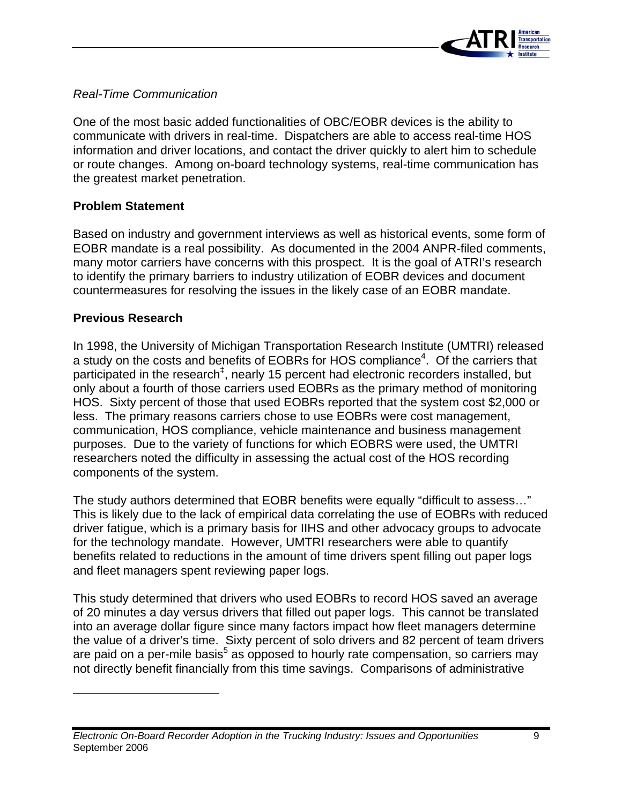

#### *Real-Time Communication*

One of the most basic added functionalities of OBC/EOBR devices is the ability to communicate with drivers in real-time. Dispatchers are able to access real-time HOS information and driver locations, and contact the driver quickly to alert him to schedule or route changes. Among on-board technology systems, real-time communication has the greatest market penetration.

#### **Problem Statement**

Based on industry and government interviews as well as historical events, some form of EOBR mandate is a real possibility. As documented in the 2004 ANPR-filed comments, many motor carriers have concerns with this prospect. It is the goal of ATRI's research to identify the primary barriers to industry utilization of EOBR devices and document countermeasures for resolving the issues in the likely case of an EOBR mandate.

#### **Previous Research**

In 1998, the University of Michigan Transportation Research Institute (UMTRI) released a study on the costs and benefits of EOBRs for HOS compliance<sup>4</sup>. Of the carriers that participated in the research<sup>‡</sup>, nearly 15 percent had electronic recorders installed, but only about a fourth of those carriers used EOBRs as the primary method of monitoring HOS. Sixty percent of those that used EOBRs reported that the system cost \$2,000 or less. The primary reasons carriers chose to use EOBRs were cost management, communication, HOS compliance, vehicle maintenance and business management purposes. Due to the variety of functions for which EOBRS were used, the UMTRI researchers noted the difficulty in assessing the actual cost of the HOS recording components of the system.

The study authors determined that EOBR benefits were equally "difficult to assess…" This is likely due to the lack of empirical data correlating the use of EOBRs with reduced driver fatigue, which is a primary basis for IIHS and other advocacy groups to advocate for the technology mandate. However, UMTRI researchers were able to quantify benefits related to reductions in the amount of time drivers spent filling out paper logs and fleet managers spent reviewing paper logs.

This study determined that drivers who used EOBRs to record HOS saved an average of 20 minutes a day versus drivers that filled out paper logs. This cannot be translated into an average dollar figure since many factors impact how fleet managers determine the value of a driver's time. Sixty percent of solo drivers and 82 percent of team drivers are paid on a per-mile basis<sup>5</sup> as opposed to hourly rate compensation, so carriers may not directly benefit financially from this time savings. Comparisons of administrative

*Electronic On-Board Recorder Adoption in the Trucking Industry: Issues and Opportunities* September 2006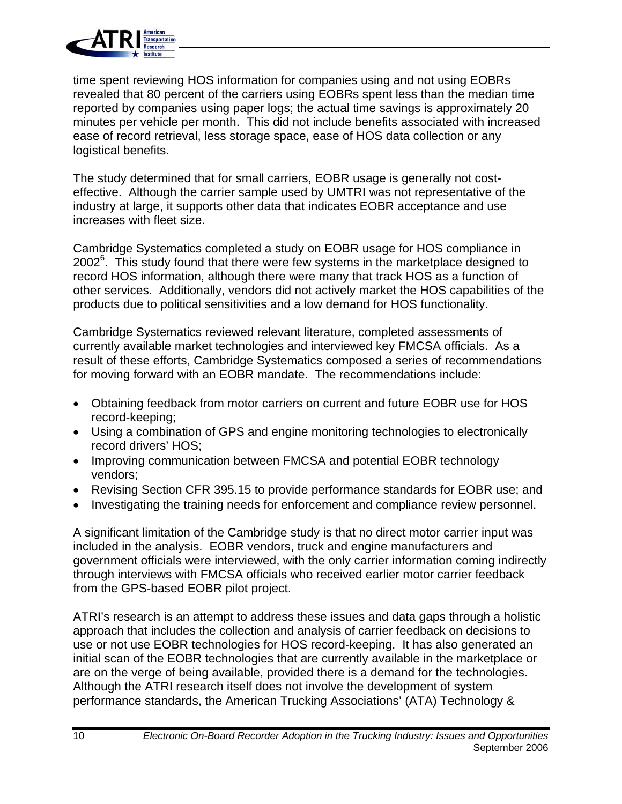

time spent reviewing HOS information for companies using and not using EOBRs revealed that 80 percent of the carriers using EOBRs spent less than the median time reported by companies using paper logs; the actual time savings is approximately 20 minutes per vehicle per month. This did not include benefits associated with increased ease of record retrieval, less storage space, ease of HOS data collection or any logistical benefits.

The study determined that for small carriers, EOBR usage is generally not costeffective. Although the carrier sample used by UMTRI was not representative of the industry at large, it supports other data that indicates EOBR acceptance and use increases with fleet size.

Cambridge Systematics completed a study on EOBR usage for HOS compliance in  $2002^6$ . This study found that there were few systems in the marketplace designed to record HOS information, although there were many that track HOS as a function of other services. Additionally, vendors did not actively market the HOS capabilities of the products due to political sensitivities and a low demand for HOS functionality.

Cambridge Systematics reviewed relevant literature, completed assessments of currently available market technologies and interviewed key FMCSA officials. As a result of these efforts, Cambridge Systematics composed a series of recommendations for moving forward with an EOBR mandate. The recommendations include:

- Obtaining feedback from motor carriers on current and future EOBR use for HOS record-keeping;
- Using a combination of GPS and engine monitoring technologies to electronically record drivers' HOS;
- Improving communication between FMCSA and potential EOBR technology vendors;
- Revising Section CFR 395.15 to provide performance standards for EOBR use; and
- Investigating the training needs for enforcement and compliance review personnel.

A significant limitation of the Cambridge study is that no direct motor carrier input was included in the analysis. EOBR vendors, truck and engine manufacturers and government officials were interviewed, with the only carrier information coming indirectly through interviews with FMCSA officials who received earlier motor carrier feedback from the GPS-based EOBR pilot project.

ATRI's research is an attempt to address these issues and data gaps through a holistic approach that includes the collection and analysis of carrier feedback on decisions to use or not use EOBR technologies for HOS record-keeping. It has also generated an initial scan of the EOBR technologies that are currently available in the marketplace or are on the verge of being available, provided there is a demand for the technologies. Although the ATRI research itself does not involve the development of system performance standards, the American Trucking Associations' (ATA) Technology &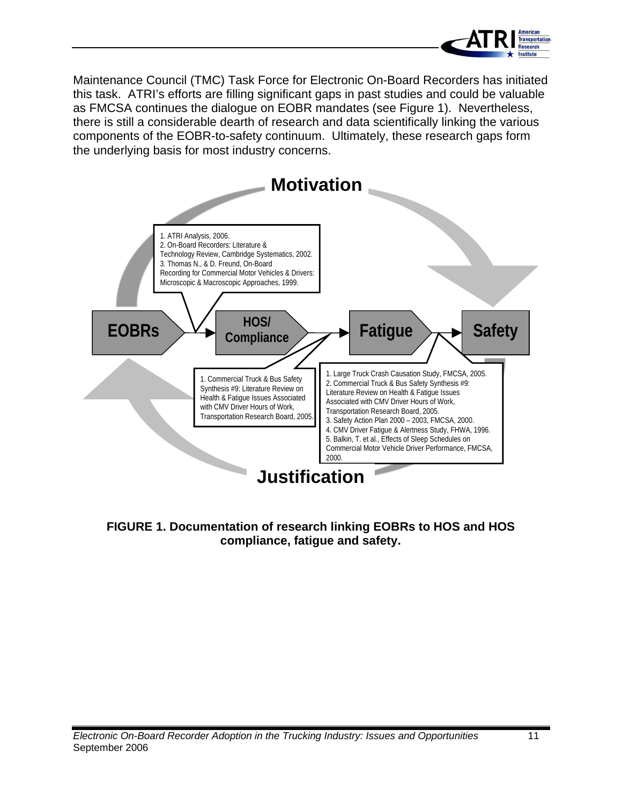

Maintenance Council (TMC) Task Force for Electronic On-Board Recorders has initiated this task. ATRI's efforts are filling significant gaps in past studies and could be valuable as FMCSA continues the dialogue on EOBR mandates (see Figure 1). Nevertheless, there is still a considerable dearth of research and data scientifically linking the various components of the EOBR-to-safety continuum. Ultimately, these research gaps form the underlying basis for most industry concerns.



#### **FIGURE 1. Documentation of research linking EOBRs to HOS and HOS compliance, fatigue and safety.**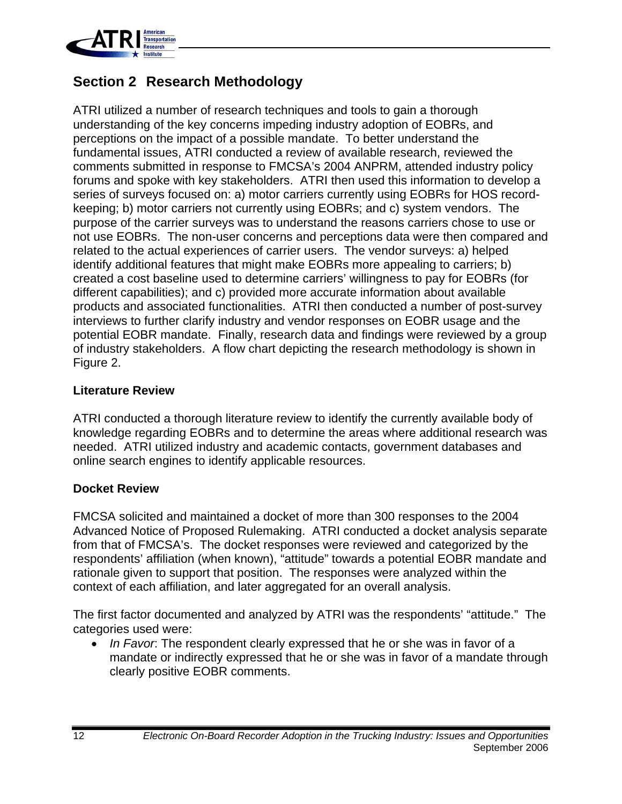

### **Section 2 Research Methodology**

ATRI utilized a number of research techniques and tools to gain a thorough understanding of the key concerns impeding industry adoption of EOBRs, and perceptions on the impact of a possible mandate. To better understand the fundamental issues, ATRI conducted a review of available research, reviewed the comments submitted in response to FMCSA's 2004 ANPRM, attended industry policy forums and spoke with key stakeholders. ATRI then used this information to develop a series of surveys focused on: a) motor carriers currently using EOBRs for HOS recordkeeping; b) motor carriers not currently using EOBRs; and c) system vendors. The purpose of the carrier surveys was to understand the reasons carriers chose to use or not use EOBRs. The non-user concerns and perceptions data were then compared and related to the actual experiences of carrier users. The vendor surveys: a) helped identify additional features that might make EOBRs more appealing to carriers; b) created a cost baseline used to determine carriers' willingness to pay for EOBRs (for different capabilities); and c) provided more accurate information about available products and associated functionalities. ATRI then conducted a number of post-survey interviews to further clarify industry and vendor responses on EOBR usage and the potential EOBR mandate. Finally, research data and findings were reviewed by a group of industry stakeholders. A flow chart depicting the research methodology is shown in Figure 2.

#### **Literature Review**

ATRI conducted a thorough literature review to identify the currently available body of knowledge regarding EOBRs and to determine the areas where additional research was needed. ATRI utilized industry and academic contacts, government databases and online search engines to identify applicable resources.

#### **Docket Review**

FMCSA solicited and maintained a docket of more than 300 responses to the 2004 Advanced Notice of Proposed Rulemaking. ATRI conducted a docket analysis separate from that of FMCSA's. The docket responses were reviewed and categorized by the respondents' affiliation (when known), "attitude" towards a potential EOBR mandate and rationale given to support that position. The responses were analyzed within the context of each affiliation, and later aggregated for an overall analysis.

The first factor documented and analyzed by ATRI was the respondents' "attitude." The categories used were:

• *In Favor*: The respondent clearly expressed that he or she was in favor of a mandate or indirectly expressed that he or she was in favor of a mandate through clearly positive EOBR comments.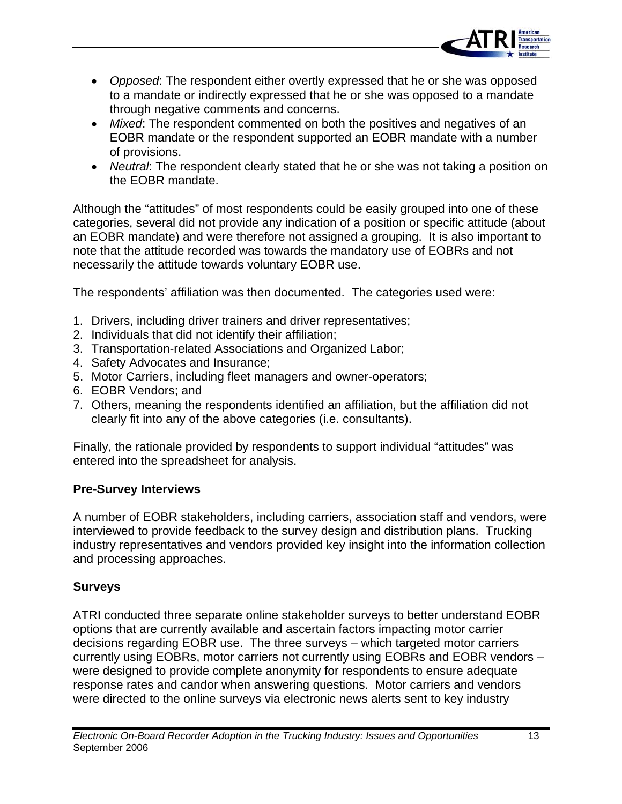

- *Opposed*: The respondent either overtly expressed that he or she was opposed to a mandate or indirectly expressed that he or she was opposed to a mandate through negative comments and concerns.
- *Mixed*: The respondent commented on both the positives and negatives of an EOBR mandate or the respondent supported an EOBR mandate with a number of provisions.
- *Neutral*: The respondent clearly stated that he or she was not taking a position on the EOBR mandate.

Although the "attitudes" of most respondents could be easily grouped into one of these categories, several did not provide any indication of a position or specific attitude (about an EOBR mandate) and were therefore not assigned a grouping. It is also important to note that the attitude recorded was towards the mandatory use of EOBRs and not necessarily the attitude towards voluntary EOBR use.

The respondents' affiliation was then documented. The categories used were:

- 1. Drivers, including driver trainers and driver representatives;
- 2. Individuals that did not identify their affiliation;
- 3. Transportation-related Associations and Organized Labor;
- 4. Safety Advocates and Insurance;
- 5. Motor Carriers, including fleet managers and owner-operators;
- 6. EOBR Vendors; and
- 7. Others, meaning the respondents identified an affiliation, but the affiliation did not clearly fit into any of the above categories (i.e. consultants).

Finally, the rationale provided by respondents to support individual "attitudes" was entered into the spreadsheet for analysis.

#### **Pre-Survey Interviews**

A number of EOBR stakeholders, including carriers, association staff and vendors, were interviewed to provide feedback to the survey design and distribution plans. Trucking industry representatives and vendors provided key insight into the information collection and processing approaches.

#### **Surveys**

ATRI conducted three separate online stakeholder surveys to better understand EOBR options that are currently available and ascertain factors impacting motor carrier decisions regarding EOBR use. The three surveys – which targeted motor carriers currently using EOBRs, motor carriers not currently using EOBRs and EOBR vendors – were designed to provide complete anonymity for respondents to ensure adequate response rates and candor when answering questions. Motor carriers and vendors were directed to the online surveys via electronic news alerts sent to key industry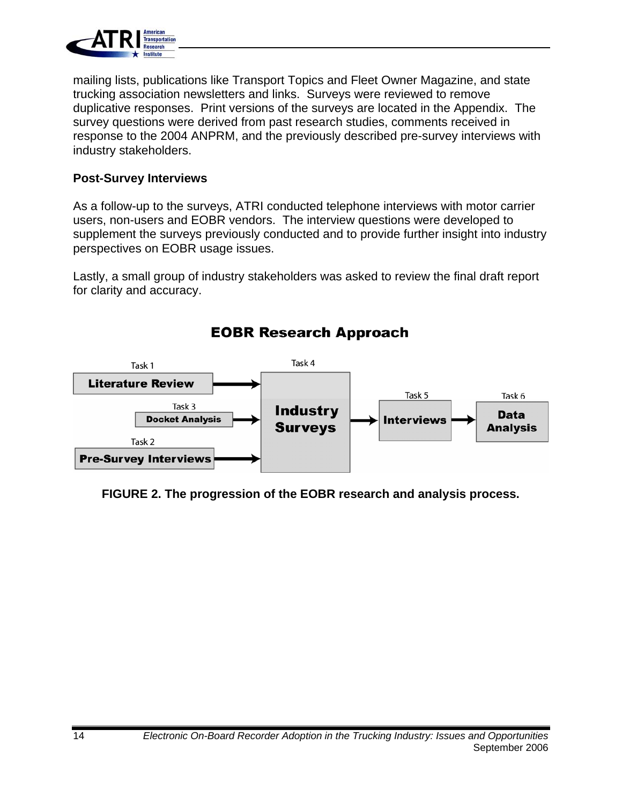

mailing lists, publications like Transport Topics and Fleet Owner Magazine, and state trucking association newsletters and links. Surveys were reviewed to remove duplicative responses. Print versions of the surveys are located in the Appendix. The survey questions were derived from past research studies, comments received in response to the 2004 ANPRM, and the previously described pre-survey interviews with industry stakeholders.

#### **Post-Survey Interviews**

As a follow-up to the surveys, ATRI conducted telephone interviews with motor carrier users, non-users and EOBR vendors. The interview questions were developed to supplement the surveys previously conducted and to provide further insight into industry perspectives on EOBR usage issues.

Lastly, a small group of industry stakeholders was asked to review the final draft report for clarity and accuracy.



### **EOBR Research Approach**

#### **FIGURE 2. The progression of the EOBR research and analysis process.**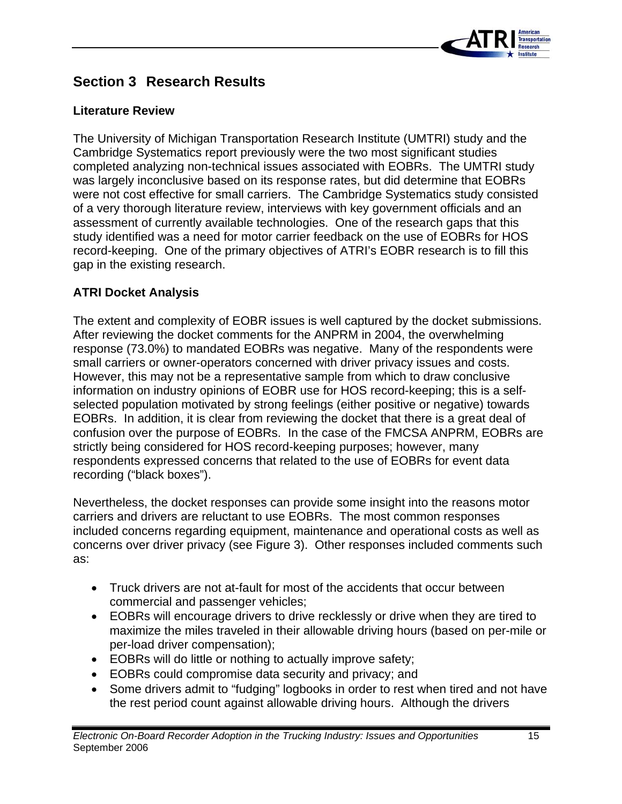

### **Section 3 Research Results**

#### **Literature Review**

The University of Michigan Transportation Research Institute (UMTRI) study and the Cambridge Systematics report previously were the two most significant studies completed analyzing non-technical issues associated with EOBRs. The UMTRI study was largely inconclusive based on its response rates, but did determine that EOBRs were not cost effective for small carriers. The Cambridge Systematics study consisted of a very thorough literature review, interviews with key government officials and an assessment of currently available technologies. One of the research gaps that this study identified was a need for motor carrier feedback on the use of EOBRs for HOS record-keeping. One of the primary objectives of ATRI's EOBR research is to fill this gap in the existing research.

#### **ATRI Docket Analysis**

The extent and complexity of EOBR issues is well captured by the docket submissions. After reviewing the docket comments for the ANPRM in 2004, the overwhelming response (73.0%) to mandated EOBRs was negative. Many of the respondents were small carriers or owner-operators concerned with driver privacy issues and costs. However, this may not be a representative sample from which to draw conclusive information on industry opinions of EOBR use for HOS record-keeping; this is a selfselected population motivated by strong feelings (either positive or negative) towards EOBRs. In addition, it is clear from reviewing the docket that there is a great deal of confusion over the purpose of EOBRs. In the case of the FMCSA ANPRM, EOBRs are strictly being considered for HOS record-keeping purposes; however, many respondents expressed concerns that related to the use of EOBRs for event data recording ("black boxes").

Nevertheless, the docket responses can provide some insight into the reasons motor carriers and drivers are reluctant to use EOBRs. The most common responses included concerns regarding equipment, maintenance and operational costs as well as concerns over driver privacy (see Figure 3). Other responses included comments such as:

- Truck drivers are not at-fault for most of the accidents that occur between commercial and passenger vehicles;
- EOBRs will encourage drivers to drive recklessly or drive when they are tired to maximize the miles traveled in their allowable driving hours (based on per-mile or per-load driver compensation);
- EOBRs will do little or nothing to actually improve safety;
- EOBRs could compromise data security and privacy; and
- Some drivers admit to "fudging" logbooks in order to rest when tired and not have the rest period count against allowable driving hours. Although the drivers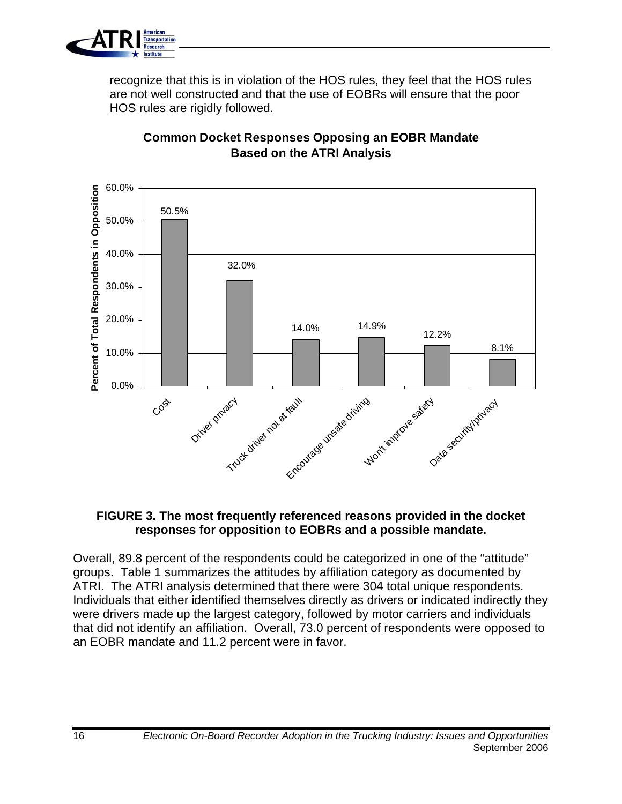

recognize that this is in violation of the HOS rules, they feel that the HOS rules are not well constructed and that the use of EOBRs will ensure that the poor HOS rules are rigidly followed.



### **Common Docket Responses Opposing an EOBR Mandate Based on the ATRI Analysis**

#### **FIGURE 3. The most frequently referenced reasons provided in the docket responses for opposition to EOBRs and a possible mandate.**

Overall, 89.8 percent of the respondents could be categorized in one of the "attitude" groups. Table 1 summarizes the attitudes by affiliation category as documented by ATRI. The ATRI analysis determined that there were 304 total unique respondents. Individuals that either identified themselves directly as drivers or indicated indirectly they were drivers made up the largest category, followed by motor carriers and individuals that did not identify an affiliation. Overall, 73.0 percent of respondents were opposed to an EOBR mandate and 11.2 percent were in favor.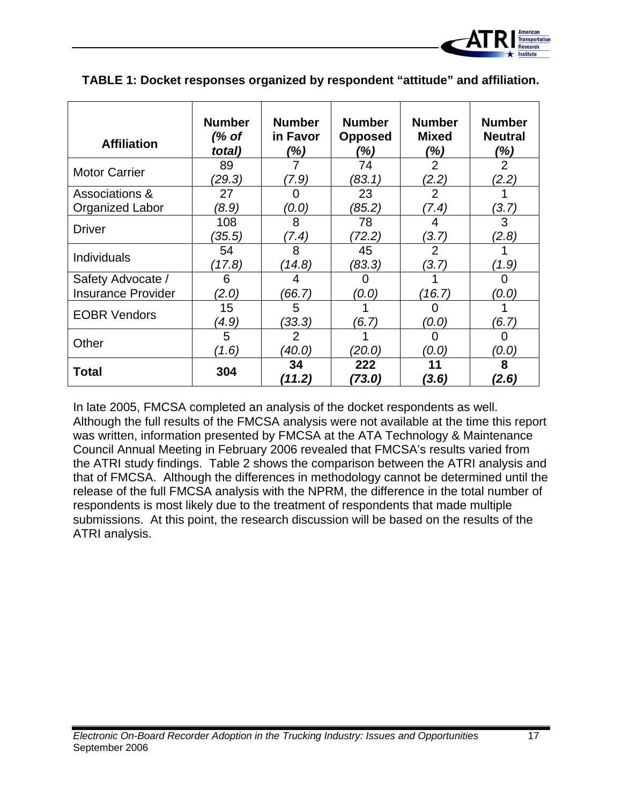

| <b>Affiliation</b>                             | <b>Number</b><br>(% of<br>total) | <b>Number</b><br>in Favor<br>(%) | <b>Number</b><br><b>Opposed</b><br>(%) | <b>Number</b><br><b>Mixed</b><br>(%) | <b>Number</b><br><b>Neutral</b><br>(%) |
|------------------------------------------------|----------------------------------|----------------------------------|----------------------------------------|--------------------------------------|----------------------------------------|
| <b>Motor Carrier</b>                           | 89<br>(29.3)                     | (7.9)                            | 74<br>(83.1)                           | $\overline{2}$<br>(2.2)              | $\overline{2}$<br>(2.2)                |
| Associations &<br>Organized Labor              | 27<br>(8.9)                      | (0.0)                            | 23<br>(85.2)                           | 2<br>(7.4)                           | (3.7)                                  |
| <b>Driver</b>                                  | 108<br>(35.5)                    | 8<br>(7.4)                       | 78<br>(72.2)                           | 4<br>(3.7)                           | 3<br>(2.8)                             |
| <b>Individuals</b>                             | 54<br>(17.8)                     | 8<br>(14.8)                      | 45<br>(83.3)                           | $\overline{2}$<br>(3.7)              | (1.9)                                  |
| Safety Advocate /<br><b>Insurance Provider</b> | 6<br>(2.0)                       | 4<br>(66.7)                      | (0.O)                                  | (16.7)                               | (0.0)                                  |
| <b>EOBR Vendors</b>                            | 15<br>(4.9)                      | 5<br>(33.3)                      | (6.7)                                  | (0.0)                                | (6.7)                                  |
| Other                                          | 5<br>$^{\prime}$ 1.6)            | $\overline{2}$<br>40.O)          | (20.0)                                 | 0<br>(0.O)                           | O<br>(0.0)                             |
| <b>Total</b>                                   | 304                              | 34<br>(11.2)                     | 222<br>(73.0)                          | 11<br>(3.6)                          | 8<br>(2.6)                             |

**TABLE 1: Docket responses organized by respondent "attitude" and affiliation.** 

In late 2005, FMCSA completed an analysis of the docket respondents as well. Although the full results of the FMCSA analysis were not available at the time this report was written, information presented by FMCSA at the ATA Technology & Maintenance Council Annual Meeting in February 2006 revealed that FMCSA's results varied from the ATRI study findings. Table 2 shows the comparison between the ATRI analysis and that of FMCSA. Although the differences in methodology cannot be determined until the release of the full FMCSA analysis with the NPRM, the difference in the total number of respondents is most likely due to the treatment of respondents that made multiple submissions. At this point, the research discussion will be based on the results of the ATRI analysis.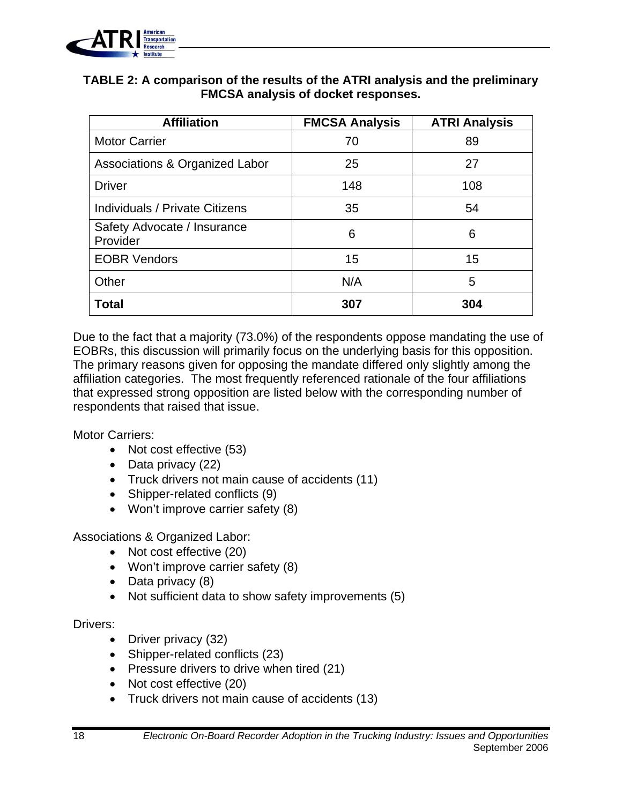

#### **TABLE 2: A comparison of the results of the ATRI analysis and the preliminary FMCSA analysis of docket responses.**

| <b>Affiliation</b>                        | <b>FMCSA Analysis</b> | <b>ATRI Analysis</b> |
|-------------------------------------------|-----------------------|----------------------|
| <b>Motor Carrier</b>                      | 70                    | 89                   |
| <b>Associations &amp; Organized Labor</b> | 25                    | 27                   |
| <b>Driver</b>                             | 148                   | 108                  |
| Individuals / Private Citizens            | 35                    | 54                   |
| Safety Advocate / Insurance<br>Provider   | 6                     | 6                    |
| <b>EOBR Vendors</b>                       | 15                    | 15                   |
| Other                                     | N/A                   | 5                    |
| <b>Total</b>                              | 307                   | 304                  |

Due to the fact that a majority (73.0%) of the respondents oppose mandating the use of EOBRs, this discussion will primarily focus on the underlying basis for this opposition. The primary reasons given for opposing the mandate differed only slightly among the affiliation categories. The most frequently referenced rationale of the four affiliations that expressed strong opposition are listed below with the corresponding number of respondents that raised that issue.

Motor Carriers:

- Not cost effective (53)
- Data privacy (22)
- Truck drivers not main cause of accidents (11)
- Shipper-related conflicts (9)
- Won't improve carrier safety (8)

Associations & Organized Labor:

- Not cost effective (20)
- Won't improve carrier safety (8)
- Data privacy (8)
- Not sufficient data to show safety improvements (5)

#### Drivers:

- Driver privacy (32)
- Shipper-related conflicts (23)
- Pressure drivers to drive when tired (21)
- Not cost effective (20)
- Truck drivers not main cause of accidents (13)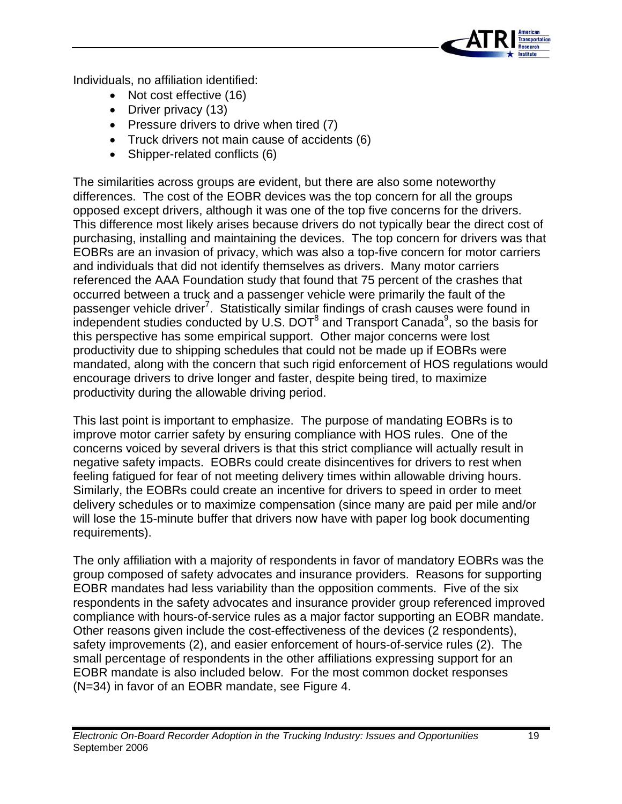

Individuals, no affiliation identified:

- Not cost effective (16)
- Driver privacy (13)
- Pressure drivers to drive when tired (7)
- Truck drivers not main cause of accidents (6)
- Shipper-related conflicts (6)

The similarities across groups are evident, but there are also some noteworthy differences. The cost of the EOBR devices was the top concern for all the groups opposed except drivers, although it was one of the top five concerns for the drivers. This difference most likely arises because drivers do not typically bear the direct cost of purchasing, installing and maintaining the devices. The top concern for drivers was that EOBRs are an invasion of privacy, which was also a top-five concern for motor carriers and individuals that did not identify themselves as drivers. Many motor carriers referenced the AAA Foundation study that found that 75 percent of the crashes that occurred between a truck and a passenger vehicle were primarily the fault of the passenger vehicle driver<sup>7</sup>. Statistically similar findings of crash causes were found in independent studies conducted by U.S. DOT $^8$  and Transport Canada $^9$ , so the basis for this perspective has some empirical support. Other major concerns were lost productivity due to shipping schedules that could not be made up if EOBRs were mandated, along with the concern that such rigid enforcement of HOS regulations would encourage drivers to drive longer and faster, despite being tired, to maximize productivity during the allowable driving period.

This last point is important to emphasize. The purpose of mandating EOBRs is to improve motor carrier safety by ensuring compliance with HOS rules. One of the concerns voiced by several drivers is that this strict compliance will actually result in negative safety impacts. EOBRs could create disincentives for drivers to rest when feeling fatigued for fear of not meeting delivery times within allowable driving hours. Similarly, the EOBRs could create an incentive for drivers to speed in order to meet delivery schedules or to maximize compensation (since many are paid per mile and/or will lose the 15-minute buffer that drivers now have with paper log book documenting requirements).

The only affiliation with a majority of respondents in favor of mandatory EOBRs was the group composed of safety advocates and insurance providers. Reasons for supporting EOBR mandates had less variability than the opposition comments. Five of the six respondents in the safety advocates and insurance provider group referenced improved compliance with hours-of-service rules as a major factor supporting an EOBR mandate. Other reasons given include the cost-effectiveness of the devices (2 respondents), safety improvements (2), and easier enforcement of hours-of-service rules (2). The small percentage of respondents in the other affiliations expressing support for an EOBR mandate is also included below. For the most common docket responses (N=34) in favor of an EOBR mandate, see Figure 4.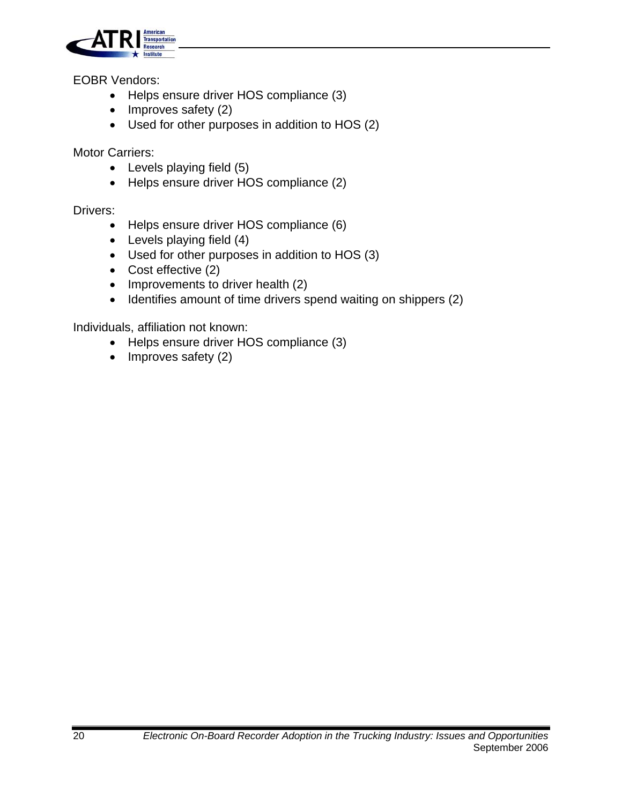

EOBR Vendors:

- Helps ensure driver HOS compliance (3)
- Improves safety (2)
- Used for other purposes in addition to HOS (2)

Motor Carriers:

- Levels playing field (5)
- Helps ensure driver HOS compliance (2)

Drivers:

- Helps ensure driver HOS compliance (6)
- Levels playing field (4)
- Used for other purposes in addition to HOS (3)
- Cost effective (2)
- Improvements to driver health (2)
- Identifies amount of time drivers spend waiting on shippers (2)

Individuals, affiliation not known:

- Helps ensure driver HOS compliance (3)
- Improves safety (2)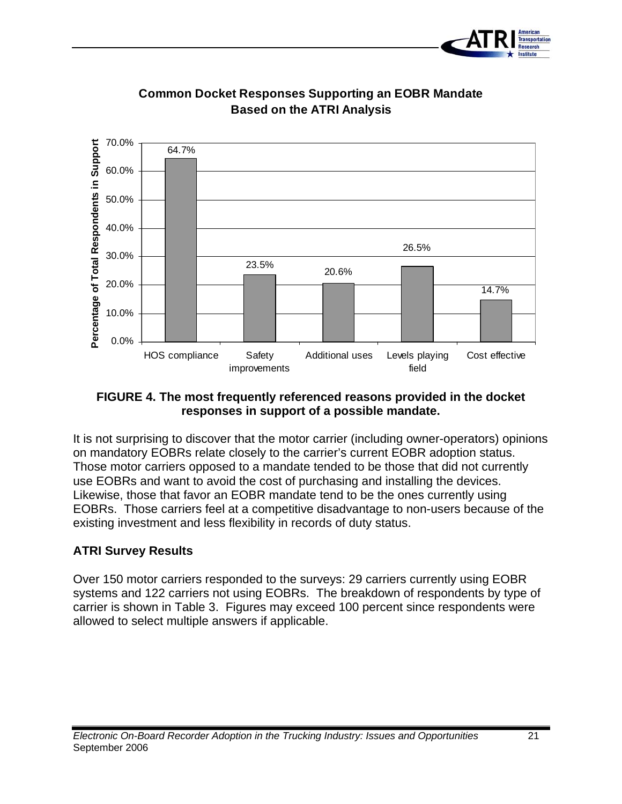



### **Common Docket Responses Supporting an EOBR Mandate Based on the ATRI Analysis**

#### **FIGURE 4. The most frequently referenced reasons provided in the docket responses in support of a possible mandate.**

It is not surprising to discover that the motor carrier (including owner-operators) opinions on mandatory EOBRs relate closely to the carrier's current EOBR adoption status. Those motor carriers opposed to a mandate tended to be those that did not currently use EOBRs and want to avoid the cost of purchasing and installing the devices. Likewise, those that favor an EOBR mandate tend to be the ones currently using EOBRs. Those carriers feel at a competitive disadvantage to non-users because of the existing investment and less flexibility in records of duty status.

#### **ATRI Survey Results**

Over 150 motor carriers responded to the surveys: 29 carriers currently using EOBR systems and 122 carriers not using EOBRs. The breakdown of respondents by type of carrier is shown in Table 3. Figures may exceed 100 percent since respondents were allowed to select multiple answers if applicable.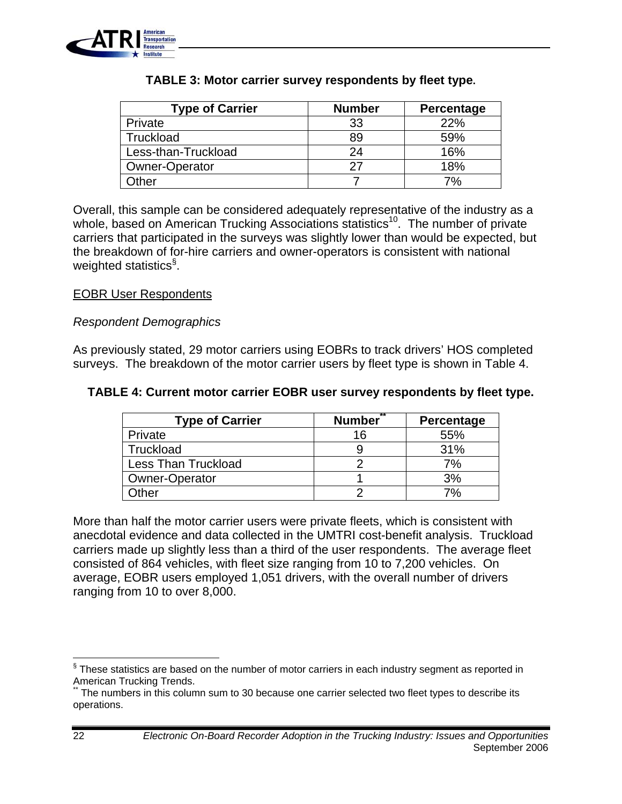

| <b>Type of Carrier</b> | <b>Number</b> | Percentage |
|------------------------|---------------|------------|
| Private                | 33            | 22%        |
| Truckload              | 89            | 59%        |
| Less-than-Truckload    | 24            | 16%        |
| <b>Owner-Operator</b>  | 27            | 18%        |
| )ther                  |               | 7%         |

#### **TABLE 3: Motor carrier survey respondents by fleet type.**

Overall, this sample can be considered adequately representative of the industry as a whole, based on American Trucking Associations statistics<sup>10</sup>. The number of private carriers that participated in the surveys was slightly lower than would be expected, but the breakdown of for-hire carriers and owner-operators is consistent with national weighted statistics<sup>§</sup>.

#### EOBR User Respondents

#### *Respondent Demographics*

As previously stated, 29 motor carriers using EOBRs to track drivers' HOS completed surveys. The breakdown of the motor carrier users by fleet type is shown in Table 4.

#### **TABLE 4: Current motor carrier EOBR user survey respondents by fleet type.**

| <b>Type of Carrier</b>     | $*$<br><b>Number</b> | Percentage |
|----------------------------|----------------------|------------|
| Private                    | 16                   | 55%        |
| Truckload                  |                      | 31%        |
| <b>Less Than Truckload</b> |                      | 7%         |
| <b>Owner-Operator</b>      |                      | 3%         |
| <b>Other</b>               |                      | 7%         |

More than half the motor carrier users were private fleets, which is consistent with anecdotal evidence and data collected in the UMTRI cost-benefit analysis. Truckload carriers made up slightly less than a third of the user respondents. The average fleet consisted of 864 vehicles, with fleet size ranging from 10 to 7,200 vehicles. On average, EOBR users employed 1,051 drivers, with the overall number of drivers ranging from 10 to over 8,000.

 $\S$  These statistics are based on the number of motor carriers in each industry segment as reported in American Trucking Trends.<br>\*\* The numbers in this column sum to 30 because one carrier selected two fleet types to describe its

operations.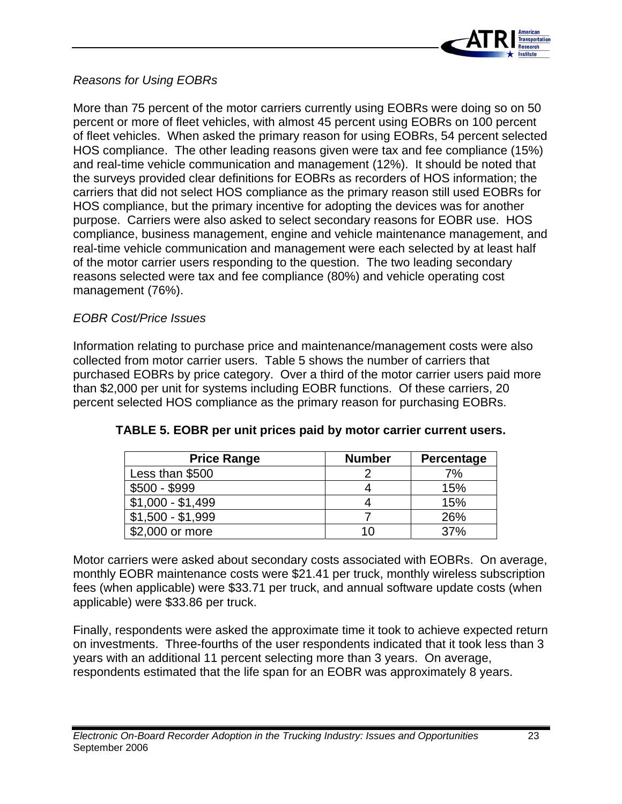

#### *Reasons for Using EOBRs*

More than 75 percent of the motor carriers currently using EOBRs were doing so on 50 percent or more of fleet vehicles, with almost 45 percent using EOBRs on 100 percent of fleet vehicles. When asked the primary reason for using EOBRs, 54 percent selected HOS compliance. The other leading reasons given were tax and fee compliance (15%) and real-time vehicle communication and management (12%). It should be noted that the surveys provided clear definitions for EOBRs as recorders of HOS information; the carriers that did not select HOS compliance as the primary reason still used EOBRs for HOS compliance, but the primary incentive for adopting the devices was for another purpose. Carriers were also asked to select secondary reasons for EOBR use. HOS compliance, business management, engine and vehicle maintenance management, and real-time vehicle communication and management were each selected by at least half of the motor carrier users responding to the question. The two leading secondary reasons selected were tax and fee compliance (80%) and vehicle operating cost management (76%).

#### *EOBR Cost/Price Issues*

Information relating to purchase price and maintenance/management costs were also collected from motor carrier users. Table 5 shows the number of carriers that purchased EOBRs by price category. Over a third of the motor carrier users paid more than \$2,000 per unit for systems including EOBR functions. Of these carriers, 20 percent selected HOS compliance as the primary reason for purchasing EOBRs.

| <b>Price Range</b> | <b>Number</b> | Percentage |
|--------------------|---------------|------------|
| Less than \$500    |               | 7%         |
| $$500 - $999$      |               | 15%        |
| $$1,000 - $1,499$  |               | 15%        |
| $$1,500 - $1,999$  |               | 26%        |
| \$2,000 or more    | 10            | 37%        |

#### **TABLE 5. EOBR per unit prices paid by motor carrier current users.**

Motor carriers were asked about secondary costs associated with EOBRs. On average, monthly EOBR maintenance costs were \$21.41 per truck, monthly wireless subscription fees (when applicable) were \$33.71 per truck, and annual software update costs (when applicable) were \$33.86 per truck.

Finally, respondents were asked the approximate time it took to achieve expected return on investments. Three-fourths of the user respondents indicated that it took less than 3 years with an additional 11 percent selecting more than 3 years. On average, respondents estimated that the life span for an EOBR was approximately 8 years.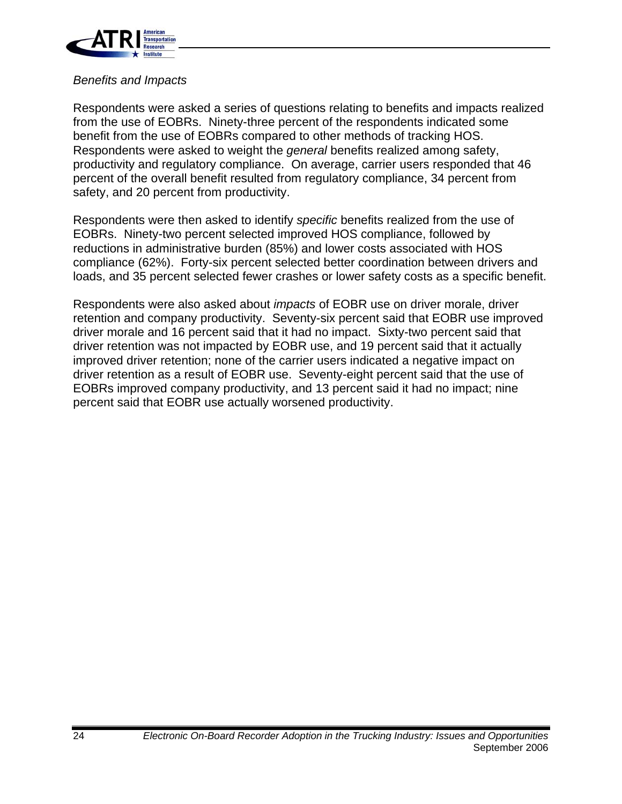

#### *Benefits and Impacts*

Respondents were asked a series of questions relating to benefits and impacts realized from the use of EOBRs. Ninety-three percent of the respondents indicated some benefit from the use of EOBRs compared to other methods of tracking HOS. Respondents were asked to weight the *general* benefits realized among safety, productivity and regulatory compliance. On average, carrier users responded that 46 percent of the overall benefit resulted from regulatory compliance, 34 percent from safety, and 20 percent from productivity.

Respondents were then asked to identify *specific* benefits realized from the use of EOBRs. Ninety-two percent selected improved HOS compliance, followed by reductions in administrative burden (85%) and lower costs associated with HOS compliance (62%). Forty-six percent selected better coordination between drivers and loads, and 35 percent selected fewer crashes or lower safety costs as a specific benefit.

Respondents were also asked about *impacts* of EOBR use on driver morale, driver retention and company productivity. Seventy-six percent said that EOBR use improved driver morale and 16 percent said that it had no impact. Sixty-two percent said that driver retention was not impacted by EOBR use, and 19 percent said that it actually improved driver retention; none of the carrier users indicated a negative impact on driver retention as a result of EOBR use. Seventy-eight percent said that the use of EOBRs improved company productivity, and 13 percent said it had no impact; nine percent said that EOBR use actually worsened productivity.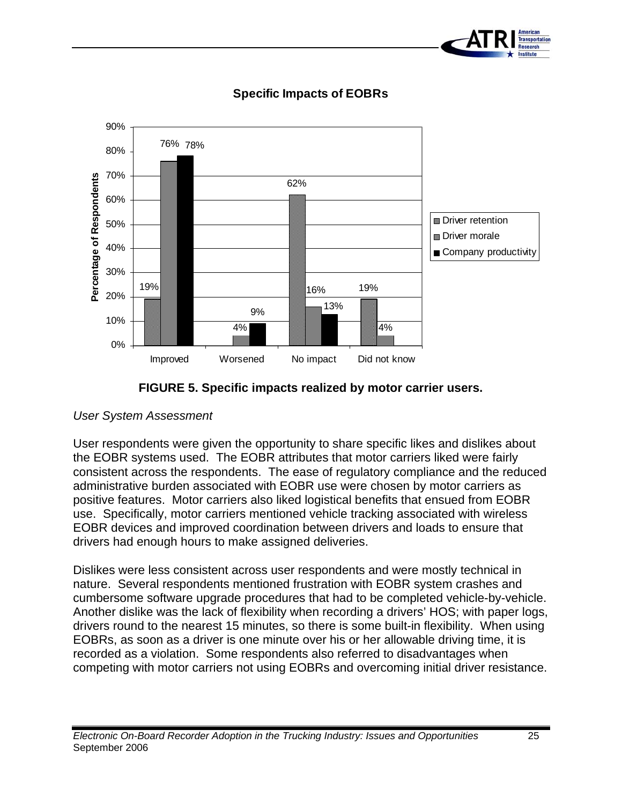



**Specific Impacts of EOBRs** 



#### *User System Assessment*

User respondents were given the opportunity to share specific likes and dislikes about the EOBR systems used. The EOBR attributes that motor carriers liked were fairly consistent across the respondents. The ease of regulatory compliance and the reduced administrative burden associated with EOBR use were chosen by motor carriers as positive features. Motor carriers also liked logistical benefits that ensued from EOBR use. Specifically, motor carriers mentioned vehicle tracking associated with wireless EOBR devices and improved coordination between drivers and loads to ensure that drivers had enough hours to make assigned deliveries.

Dislikes were less consistent across user respondents and were mostly technical in nature. Several respondents mentioned frustration with EOBR system crashes and cumbersome software upgrade procedures that had to be completed vehicle-by-vehicle. Another dislike was the lack of flexibility when recording a drivers' HOS; with paper logs, drivers round to the nearest 15 minutes, so there is some built-in flexibility. When using EOBRs, as soon as a driver is one minute over his or her allowable driving time, it is recorded as a violation. Some respondents also referred to disadvantages when competing with motor carriers not using EOBRs and overcoming initial driver resistance.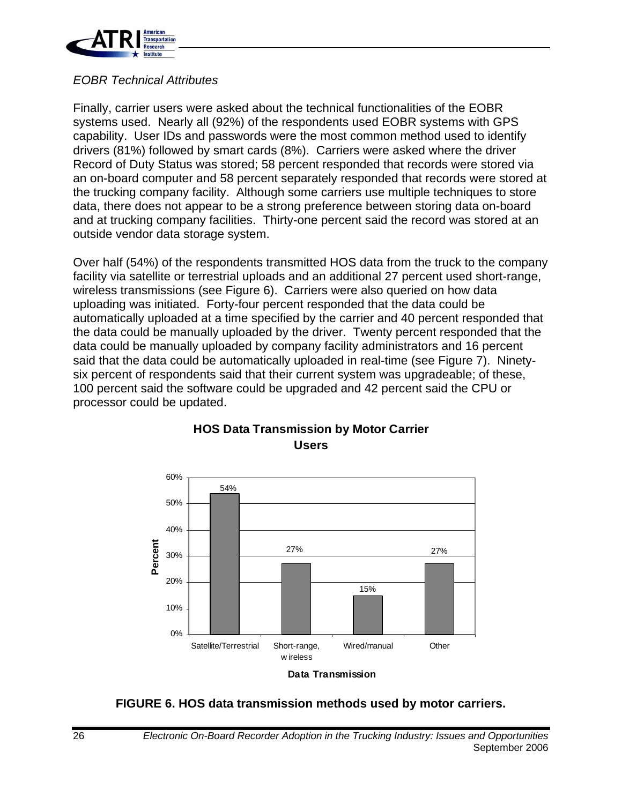

#### *EOBR Technical Attributes*

Finally, carrier users were asked about the technical functionalities of the EOBR systems used. Nearly all (92%) of the respondents used EOBR systems with GPS capability. User IDs and passwords were the most common method used to identify drivers (81%) followed by smart cards (8%). Carriers were asked where the driver Record of Duty Status was stored; 58 percent responded that records were stored via an on-board computer and 58 percent separately responded that records were stored at the trucking company facility. Although some carriers use multiple techniques to store data, there does not appear to be a strong preference between storing data on-board and at trucking company facilities. Thirty-one percent said the record was stored at an outside vendor data storage system.

Over half (54%) of the respondents transmitted HOS data from the truck to the company facility via satellite or terrestrial uploads and an additional 27 percent used short-range, wireless transmissions (see Figure 6). Carriers were also queried on how data uploading was initiated. Forty-four percent responded that the data could be automatically uploaded at a time specified by the carrier and 40 percent responded that the data could be manually uploaded by the driver. Twenty percent responded that the data could be manually uploaded by company facility administrators and 16 percent said that the data could be automatically uploaded in real-time (see Figure 7). Ninetysix percent of respondents said that their current system was upgradeable; of these, 100 percent said the software could be upgraded and 42 percent said the CPU or processor could be updated.



#### **HOS Data Transmission by Motor Carrier Users**

**FIGURE 6. HOS data transmission methods used by motor carriers.**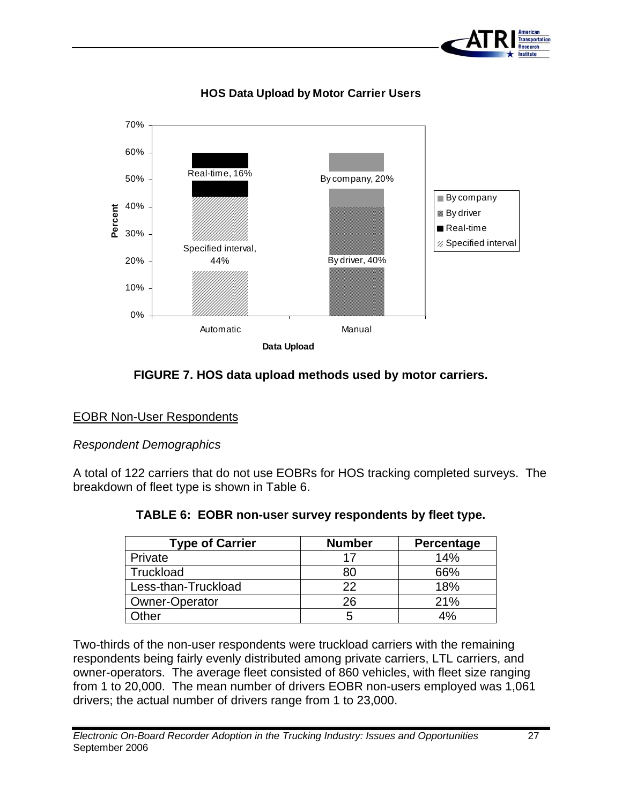



### **HOS Data Upload by Motor Carrier Users**

#### **FIGURE 7. HOS data upload methods used by motor carriers.**

#### EOBR Non-User Respondents

#### *Respondent Demographics*

A total of 122 carriers that do not use EOBRs for HOS tracking completed surveys. The breakdown of fleet type is shown in Table 6.

| <b>Type of Carrier</b> | <b>Number</b> | Percentage |
|------------------------|---------------|------------|
| Private                |               | 14%        |
| Truckload              |               | 66%        |
| Less-than-Truckload    | つつ            | 18%        |
| <b>Owner-Operator</b>  | 26            | 21%        |
| <b>Sther</b>           |               | 4%         |

#### **TABLE 6: EOBR non-user survey respondents by fleet type.**

Two-thirds of the non-user respondents were truckload carriers with the remaining respondents being fairly evenly distributed among private carriers, LTL carriers, and owner-operators. The average fleet consisted of 860 vehicles, with fleet size ranging from 1 to 20,000. The mean number of drivers EOBR non-users employed was 1,061 drivers; the actual number of drivers range from 1 to 23,000.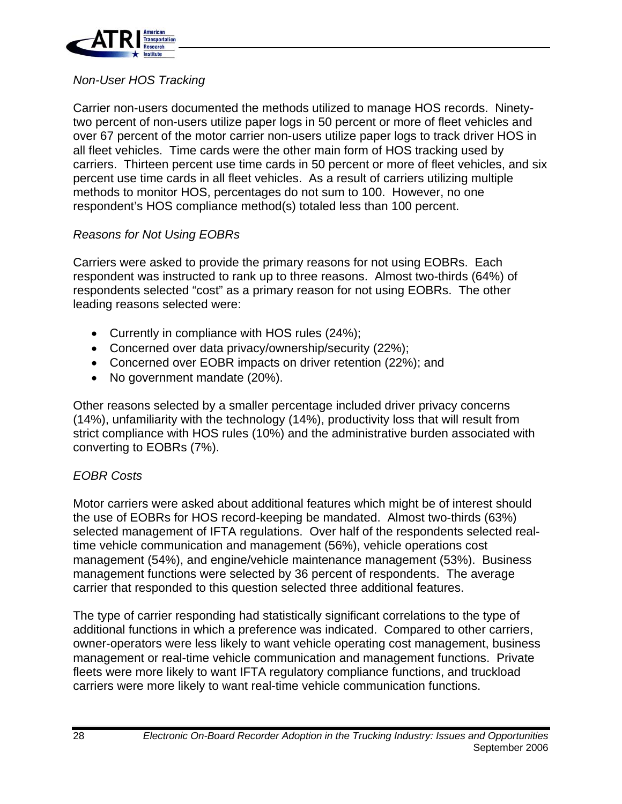

#### *Non-User HOS Tracking*

Carrier non-users documented the methods utilized to manage HOS records. Ninetytwo percent of non-users utilize paper logs in 50 percent or more of fleet vehicles and over 67 percent of the motor carrier non-users utilize paper logs to track driver HOS in all fleet vehicles. Time cards were the other main form of HOS tracking used by carriers. Thirteen percent use time cards in 50 percent or more of fleet vehicles, and six percent use time cards in all fleet vehicles. As a result of carriers utilizing multiple methods to monitor HOS, percentages do not sum to 100. However, no one respondent's HOS compliance method(s) totaled less than 100 percent.

#### *Reasons for Not Using EOBRs*

Carriers were asked to provide the primary reasons for not using EOBRs. Each respondent was instructed to rank up to three reasons. Almost two-thirds (64%) of respondents selected "cost" as a primary reason for not using EOBRs. The other leading reasons selected were:

- Currently in compliance with HOS rules (24%);
- Concerned over data privacy/ownership/security (22%);
- Concerned over EOBR impacts on driver retention (22%); and
- No government mandate (20%).

Other reasons selected by a smaller percentage included driver privacy concerns (14%), unfamiliarity with the technology (14%), productivity loss that will result from strict compliance with HOS rules (10%) and the administrative burden associated with converting to EOBRs (7%).

#### *EOBR Costs*

Motor carriers were asked about additional features which might be of interest should the use of EOBRs for HOS record-keeping be mandated. Almost two-thirds (63%) selected management of IFTA regulations. Over half of the respondents selected realtime vehicle communication and management (56%), vehicle operations cost management (54%), and engine/vehicle maintenance management (53%). Business management functions were selected by 36 percent of respondents. The average carrier that responded to this question selected three additional features.

The type of carrier responding had statistically significant correlations to the type of additional functions in which a preference was indicated. Compared to other carriers, owner-operators were less likely to want vehicle operating cost management, business management or real-time vehicle communication and management functions. Private fleets were more likely to want IFTA regulatory compliance functions, and truckload carriers were more likely to want real-time vehicle communication functions.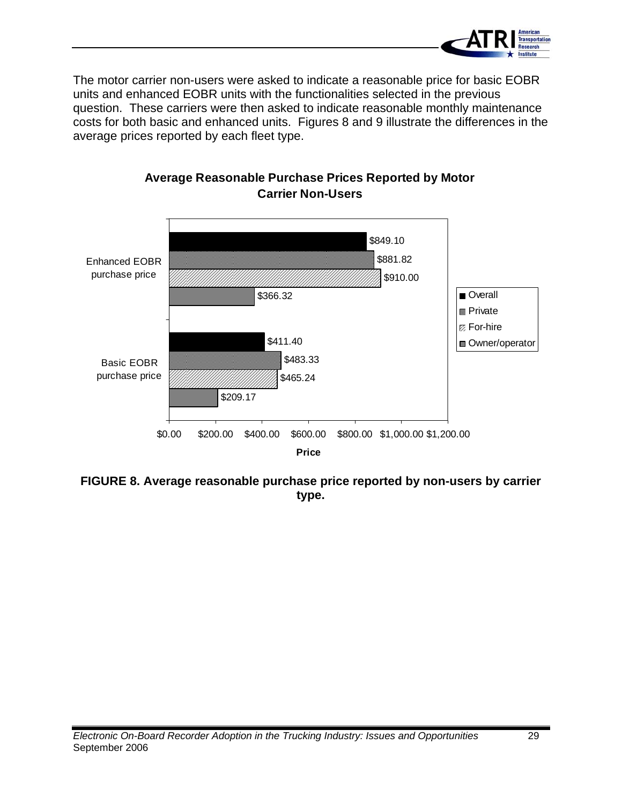

The motor carrier non-users were asked to indicate a reasonable price for basic EOBR units and enhanced EOBR units with the functionalities selected in the previous question. These carriers were then asked to indicate reasonable monthly maintenance costs for both basic and enhanced units. Figures 8 and 9 illustrate the differences in the average prices reported by each fleet type.



### **Average Reasonable Purchase Prices Reported by Motor Carrier Non-Users**

**FIGURE 8. Average reasonable purchase price reported by non-users by carrier type.**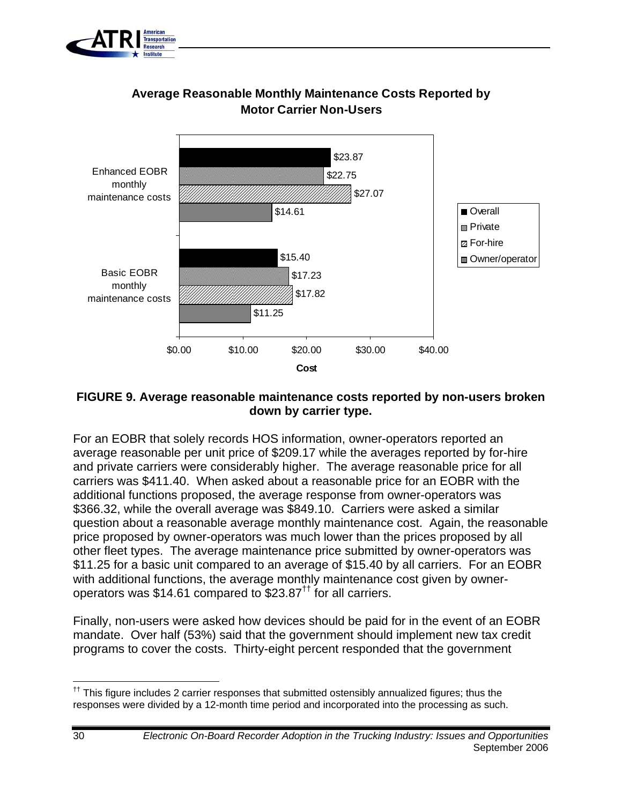



### **Average Reasonable Monthly Maintenance Costs Reported by Motor Carrier Non-Users**

#### **FIGURE 9. Average reasonable maintenance costs reported by non-users broken down by carrier type.**

For an EOBR that solely records HOS information, owner-operators reported an average reasonable per unit price of \$209.17 while the averages reported by for-hire and private carriers were considerably higher. The average reasonable price for all carriers was \$411.40. When asked about a reasonable price for an EOBR with the additional functions proposed, the average response from owner-operators was \$366.32, while the overall average was \$849.10. Carriers were asked a similar question about a reasonable average monthly maintenance cost. Again, the reasonable price proposed by owner-operators was much lower than the prices proposed by all other fleet types. The average maintenance price submitted by owner-operators was \$11.25 for a basic unit compared to an average of \$15.40 by all carriers. For an EOBR with additional functions, the average monthly maintenance cost given by owneroperators was \$14.61 compared to  $$23.87<sup>††</sup>$  for all carriers.

Finally, non-users were asked how devices should be paid for in the event of an EOBR mandate. Over half (53%) said that the government should implement new tax credit programs to cover the costs. Thirty-eight percent responded that the government

 $<sup>††</sup>$  This figure includes 2 carrier responses that submitted ostensibly annualized figures; thus the</sup> responses were divided by a 12-month time period and incorporated into the processing as such.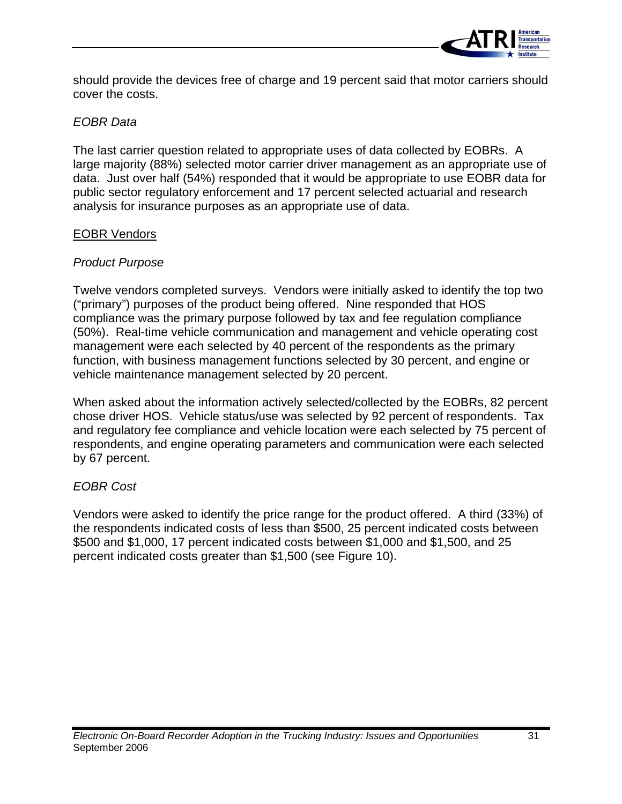

should provide the devices free of charge and 19 percent said that motor carriers should cover the costs.

#### *EOBR Data*

The last carrier question related to appropriate uses of data collected by EOBRs. A large majority (88%) selected motor carrier driver management as an appropriate use of data. Just over half (54%) responded that it would be appropriate to use EOBR data for public sector regulatory enforcement and 17 percent selected actuarial and research analysis for insurance purposes as an appropriate use of data.

#### EOBR Vendors

#### *Product Purpose*

Twelve vendors completed surveys. Vendors were initially asked to identify the top two ("primary") purposes of the product being offered. Nine responded that HOS compliance was the primary purpose followed by tax and fee regulation compliance (50%). Real-time vehicle communication and management and vehicle operating cost management were each selected by 40 percent of the respondents as the primary function, with business management functions selected by 30 percent, and engine or vehicle maintenance management selected by 20 percent.

When asked about the information actively selected/collected by the EOBRs, 82 percent chose driver HOS. Vehicle status/use was selected by 92 percent of respondents. Tax and regulatory fee compliance and vehicle location were each selected by 75 percent of respondents, and engine operating parameters and communication were each selected by 67 percent.

#### *EOBR Cost*

Vendors were asked to identify the price range for the product offered. A third (33%) of the respondents indicated costs of less than \$500, 25 percent indicated costs between \$500 and \$1,000, 17 percent indicated costs between \$1,000 and \$1,500, and 25 percent indicated costs greater than \$1,500 (see Figure 10).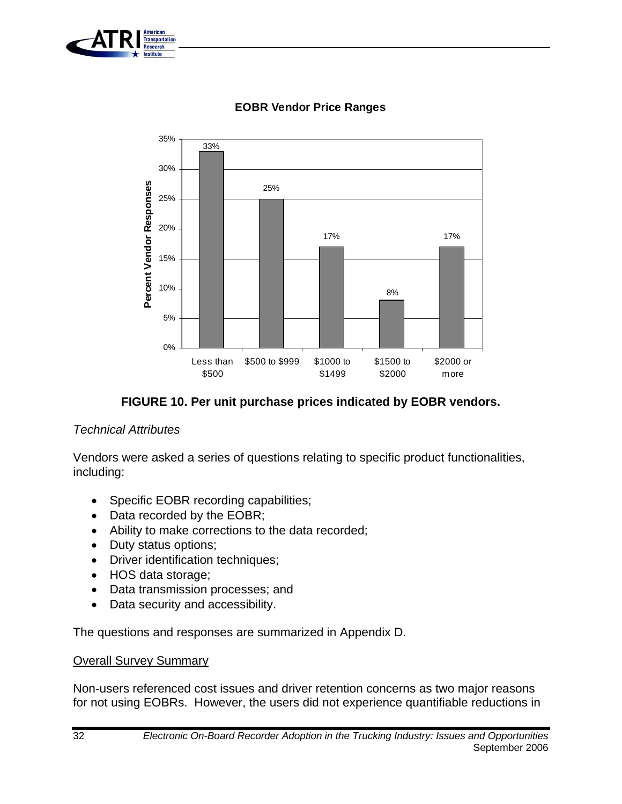



#### **EOBR Vendor Price Ranges**

**FIGURE 10. Per unit purchase prices indicated by EOBR vendors.** 

#### *Technical Attributes*

Vendors were asked a series of questions relating to specific product functionalities, including:

- Specific EOBR recording capabilities;
- Data recorded by the EOBR;
- Ability to make corrections to the data recorded;
- Duty status options;
- Driver identification techniques;
- HOS data storage;
- Data transmission processes; and
- Data security and accessibility.

The questions and responses are summarized in Appendix D.

#### Overall Survey Summary

Non-users referenced cost issues and driver retention concerns as two major reasons for not using EOBRs. However, the users did not experience quantifiable reductions in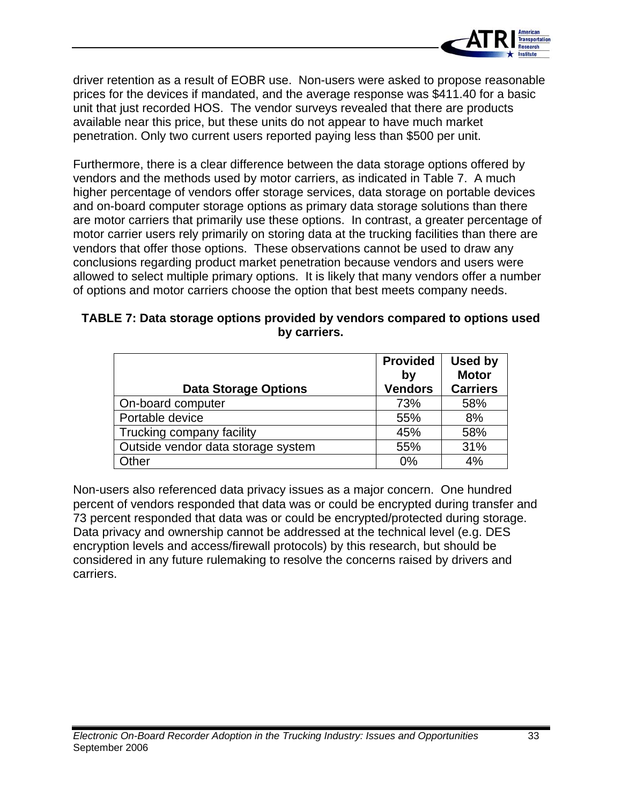

driver retention as a result of EOBR use. Non-users were asked to propose reasonable prices for the devices if mandated, and the average response was \$411.40 for a basic unit that just recorded HOS. The vendor surveys revealed that there are products available near this price, but these units do not appear to have much market penetration. Only two current users reported paying less than \$500 per unit.

Furthermore, there is a clear difference between the data storage options offered by vendors and the methods used by motor carriers, as indicated in Table 7. A much higher percentage of vendors offer storage services, data storage on portable devices and on-board computer storage options as primary data storage solutions than there are motor carriers that primarily use these options. In contrast, a greater percentage of motor carrier users rely primarily on storing data at the trucking facilities than there are vendors that offer those options. These observations cannot be used to draw any conclusions regarding product market penetration because vendors and users were allowed to select multiple primary options. It is likely that many vendors offer a number of options and motor carriers choose the option that best meets company needs.

| TABLE 7: Data storage options provided by vendors compared to options used |
|----------------------------------------------------------------------------|
| by carriers.                                                               |

|                                    | <b>Provided</b><br>by | <b>Used by</b><br><b>Motor</b> |
|------------------------------------|-----------------------|--------------------------------|
| <b>Data Storage Options</b>        | <b>Vendors</b>        | <b>Carriers</b>                |
| On-board computer                  | 73%                   | 58%                            |
| Portable device                    | 55%                   | 8%                             |
| Trucking company facility          | 45%                   | 58%                            |
| Outside vendor data storage system | 55%                   | 31%                            |
| Other                              | 0%                    | 4%                             |

Non-users also referenced data privacy issues as a major concern. One hundred percent of vendors responded that data was or could be encrypted during transfer and 73 percent responded that data was or could be encrypted/protected during storage. Data privacy and ownership cannot be addressed at the technical level (e.g. DES encryption levels and access/firewall protocols) by this research, but should be considered in any future rulemaking to resolve the concerns raised by drivers and carriers.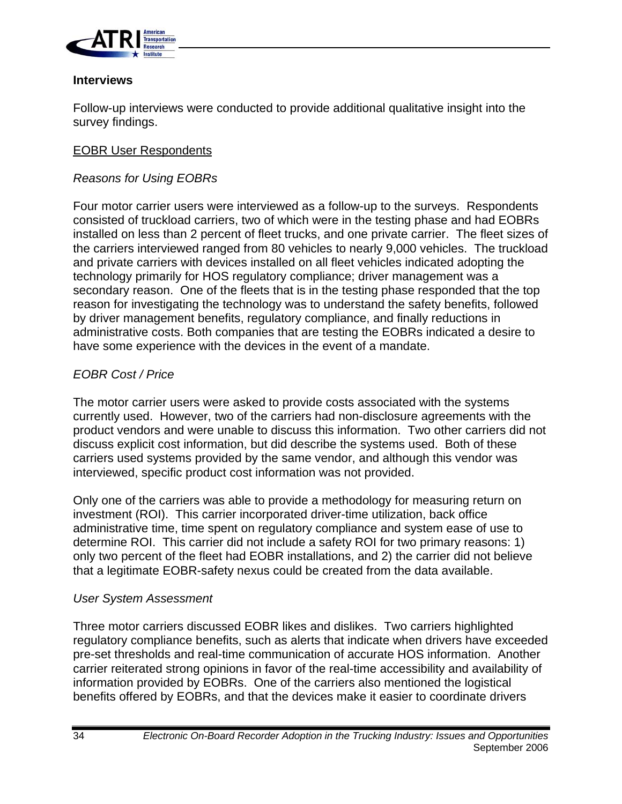

#### **Interviews**

Follow-up interviews were conducted to provide additional qualitative insight into the survey findings.

#### EOBR User Respondents

#### *Reasons for Using EOBRs*

Four motor carrier users were interviewed as a follow-up to the surveys. Respondents consisted of truckload carriers, two of which were in the testing phase and had EOBRs installed on less than 2 percent of fleet trucks, and one private carrier. The fleet sizes of the carriers interviewed ranged from 80 vehicles to nearly 9,000 vehicles. The truckload and private carriers with devices installed on all fleet vehicles indicated adopting the technology primarily for HOS regulatory compliance; driver management was a secondary reason. One of the fleets that is in the testing phase responded that the top reason for investigating the technology was to understand the safety benefits, followed by driver management benefits, regulatory compliance, and finally reductions in administrative costs. Both companies that are testing the EOBRs indicated a desire to have some experience with the devices in the event of a mandate.

#### *EOBR Cost / Price*

The motor carrier users were asked to provide costs associated with the systems currently used. However, two of the carriers had non-disclosure agreements with the product vendors and were unable to discuss this information. Two other carriers did not discuss explicit cost information, but did describe the systems used. Both of these carriers used systems provided by the same vendor, and although this vendor was interviewed, specific product cost information was not provided.

Only one of the carriers was able to provide a methodology for measuring return on investment (ROI). This carrier incorporated driver-time utilization, back office administrative time, time spent on regulatory compliance and system ease of use to determine ROI. This carrier did not include a safety ROI for two primary reasons: 1) only two percent of the fleet had EOBR installations, and 2) the carrier did not believe that a legitimate EOBR-safety nexus could be created from the data available.

#### *User System Assessment*

Three motor carriers discussed EOBR likes and dislikes. Two carriers highlighted regulatory compliance benefits, such as alerts that indicate when drivers have exceeded pre-set thresholds and real-time communication of accurate HOS information. Another carrier reiterated strong opinions in favor of the real-time accessibility and availability of information provided by EOBRs. One of the carriers also mentioned the logistical benefits offered by EOBRs, and that the devices make it easier to coordinate drivers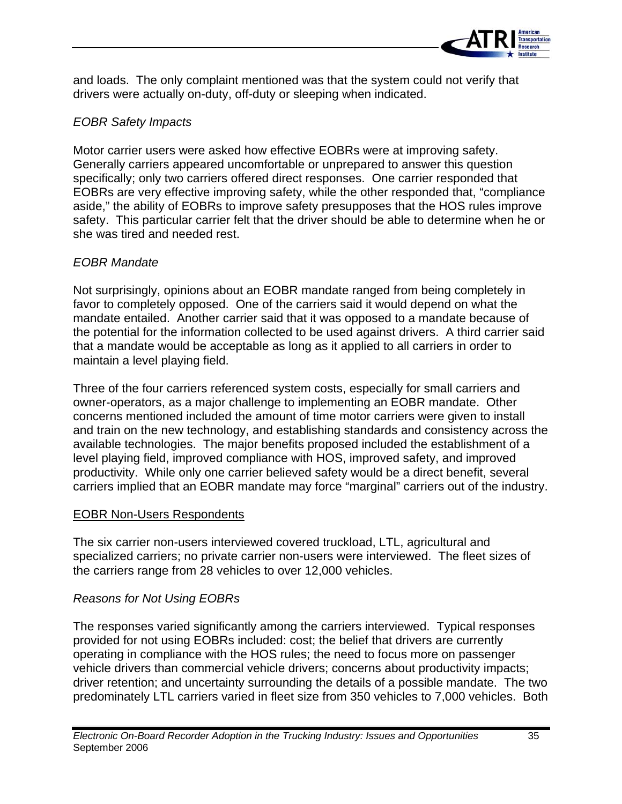

and loads. The only complaint mentioned was that the system could not verify that drivers were actually on-duty, off-duty or sleeping when indicated.

#### *EOBR Safety Impacts*

Motor carrier users were asked how effective EOBRs were at improving safety. Generally carriers appeared uncomfortable or unprepared to answer this question specifically; only two carriers offered direct responses. One carrier responded that EOBRs are very effective improving safety, while the other responded that, "compliance aside," the ability of EOBRs to improve safety presupposes that the HOS rules improve safety. This particular carrier felt that the driver should be able to determine when he or she was tired and needed rest.

#### *EOBR Mandate*

Not surprisingly, opinions about an EOBR mandate ranged from being completely in favor to completely opposed. One of the carriers said it would depend on what the mandate entailed. Another carrier said that it was opposed to a mandate because of the potential for the information collected to be used against drivers. A third carrier said that a mandate would be acceptable as long as it applied to all carriers in order to maintain a level playing field.

Three of the four carriers referenced system costs, especially for small carriers and owner-operators, as a major challenge to implementing an EOBR mandate. Other concerns mentioned included the amount of time motor carriers were given to install and train on the new technology, and establishing standards and consistency across the available technologies. The major benefits proposed included the establishment of a level playing field, improved compliance with HOS, improved safety, and improved productivity. While only one carrier believed safety would be a direct benefit, several carriers implied that an EOBR mandate may force "marginal" carriers out of the industry.

#### EOBR Non-Users Respondents

The six carrier non-users interviewed covered truckload, LTL, agricultural and specialized carriers; no private carrier non-users were interviewed. The fleet sizes of the carriers range from 28 vehicles to over 12,000 vehicles.

#### *Reasons for Not Using EOBRs*

The responses varied significantly among the carriers interviewed. Typical responses provided for not using EOBRs included: cost; the belief that drivers are currently operating in compliance with the HOS rules; the need to focus more on passenger vehicle drivers than commercial vehicle drivers; concerns about productivity impacts; driver retention; and uncertainty surrounding the details of a possible mandate. The two predominately LTL carriers varied in fleet size from 350 vehicles to 7,000 vehicles. Both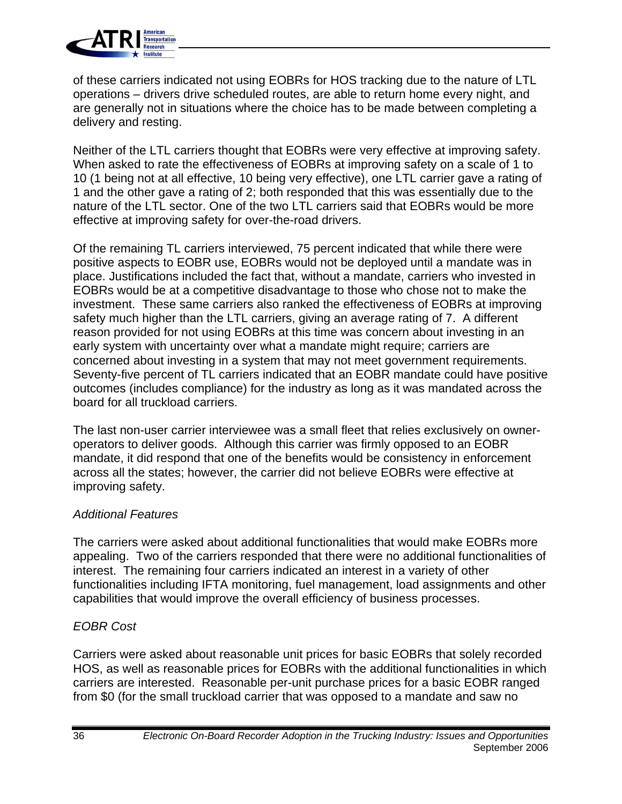

of these carriers indicated not using EOBRs for HOS tracking due to the nature of LTL operations – drivers drive scheduled routes, are able to return home every night, and are generally not in situations where the choice has to be made between completing a delivery and resting.

Neither of the LTL carriers thought that EOBRs were very effective at improving safety. When asked to rate the effectiveness of EOBRs at improving safety on a scale of 1 to 10 (1 being not at all effective, 10 being very effective), one LTL carrier gave a rating of 1 and the other gave a rating of 2; both responded that this was essentially due to the nature of the LTL sector. One of the two LTL carriers said that EOBRs would be more effective at improving safety for over-the-road drivers.

Of the remaining TL carriers interviewed, 75 percent indicated that while there were positive aspects to EOBR use, EOBRs would not be deployed until a mandate was in place. Justifications included the fact that, without a mandate, carriers who invested in EOBRs would be at a competitive disadvantage to those who chose not to make the investment. These same carriers also ranked the effectiveness of EOBRs at improving safety much higher than the LTL carriers, giving an average rating of 7. A different reason provided for not using EOBRs at this time was concern about investing in an early system with uncertainty over what a mandate might require; carriers are concerned about investing in a system that may not meet government requirements. Seventy-five percent of TL carriers indicated that an EOBR mandate could have positive outcomes (includes compliance) for the industry as long as it was mandated across the board for all truckload carriers.

The last non-user carrier interviewee was a small fleet that relies exclusively on owneroperators to deliver goods. Although this carrier was firmly opposed to an EOBR mandate, it did respond that one of the benefits would be consistency in enforcement across all the states; however, the carrier did not believe EOBRs were effective at improving safety.

#### *Additional Features*

The carriers were asked about additional functionalities that would make EOBRs more appealing. Two of the carriers responded that there were no additional functionalities of interest. The remaining four carriers indicated an interest in a variety of other functionalities including IFTA monitoring, fuel management, load assignments and other capabilities that would improve the overall efficiency of business processes.

#### *EOBR Cost*

Carriers were asked about reasonable unit prices for basic EOBRs that solely recorded HOS, as well as reasonable prices for EOBRs with the additional functionalities in which carriers are interested. Reasonable per-unit purchase prices for a basic EOBR ranged from \$0 (for the small truckload carrier that was opposed to a mandate and saw no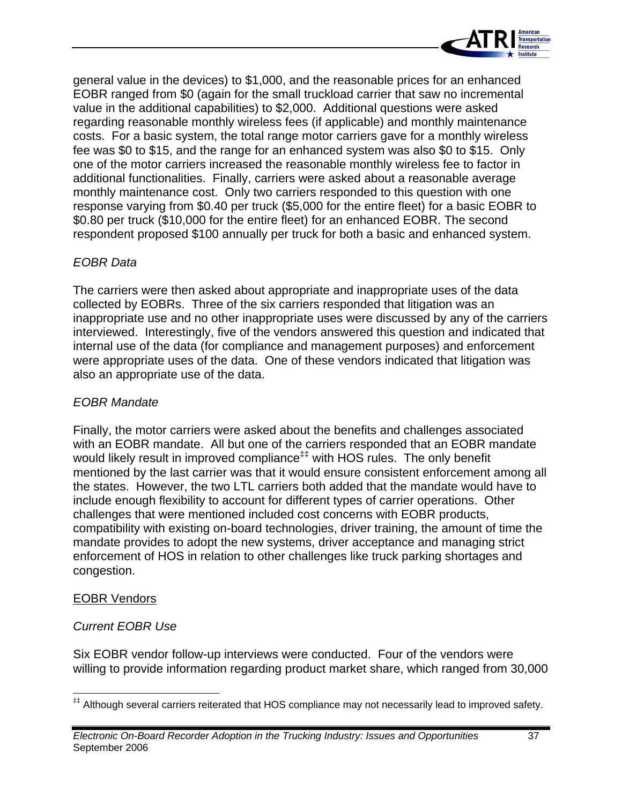

general value in the devices) to \$1,000, and the reasonable prices for an enhanced EOBR ranged from \$0 (again for the small truckload carrier that saw no incremental value in the additional capabilities) to \$2,000. Additional questions were asked regarding reasonable monthly wireless fees (if applicable) and monthly maintenance costs. For a basic system, the total range motor carriers gave for a monthly wireless fee was \$0 to \$15, and the range for an enhanced system was also \$0 to \$15. Only one of the motor carriers increased the reasonable monthly wireless fee to factor in additional functionalities. Finally, carriers were asked about a reasonable average monthly maintenance cost. Only two carriers responded to this question with one response varying from \$0.40 per truck (\$5,000 for the entire fleet) for a basic EOBR to \$0.80 per truck (\$10,000 for the entire fleet) for an enhanced EOBR. The second respondent proposed \$100 annually per truck for both a basic and enhanced system.

#### *EOBR Data*

The carriers were then asked about appropriate and inappropriate uses of the data collected by EOBRs. Three of the six carriers responded that litigation was an inappropriate use and no other inappropriate uses were discussed by any of the carriers interviewed. Interestingly, five of the vendors answered this question and indicated that internal use of the data (for compliance and management purposes) and enforcement were appropriate uses of the data. One of these vendors indicated that litigation was also an appropriate use of the data.

#### *EOBR Mandate*

Finally, the motor carriers were asked about the benefits and challenges associated with an EOBR mandate. All but one of the carriers responded that an EOBR mandate would likely result in improved compliance<sup>##</sup> with HOS rules. The only benefit mentioned by the last carrier was that it would ensure consistent enforcement among all the states. However, the two LTL carriers both added that the mandate would have to include enough flexibility to account for different types of carrier operations. Other challenges that were mentioned included cost concerns with EOBR products, compatibility with existing on-board technologies, driver training, the amount of time the mandate provides to adopt the new systems, driver acceptance and managing strict enforcement of HOS in relation to other challenges like truck parking shortages and congestion.

#### EOBR Vendors

### *Current EOBR Use*

Six EOBR vendor follow-up interviews were conducted. Four of the vendors were willing to provide information regarding product market share, which ranged from 30,000

<sup>‡‡</sup> Although several carriers reiterated that HOS compliance may not necessarily lead to improved safety.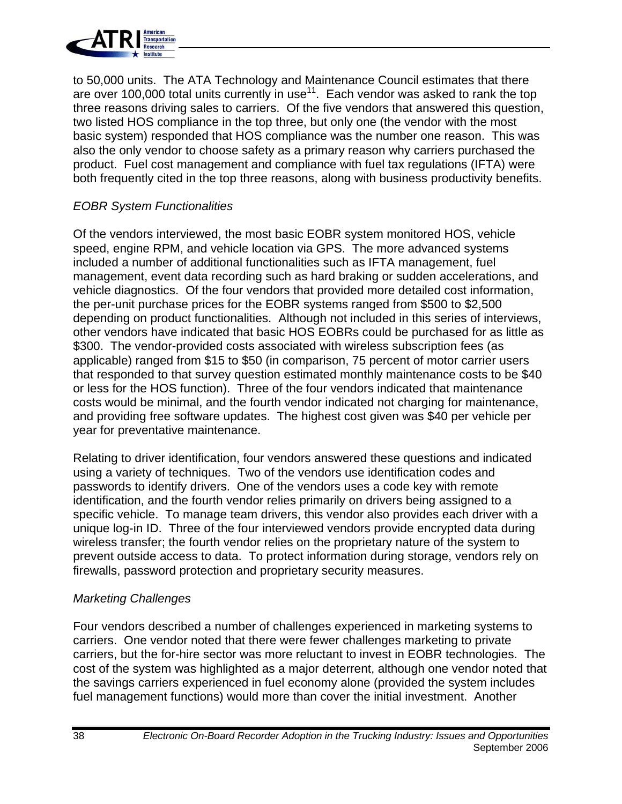

to 50,000 units. The ATA Technology and Maintenance Council estimates that there are over 100,000 total units currently in use<sup>11</sup>. Each vendor was asked to rank the top three reasons driving sales to carriers. Of the five vendors that answered this question, two listed HOS compliance in the top three, but only one (the vendor with the most basic system) responded that HOS compliance was the number one reason. This was also the only vendor to choose safety as a primary reason why carriers purchased the product. Fuel cost management and compliance with fuel tax regulations (IFTA) were both frequently cited in the top three reasons, along with business productivity benefits.

#### *EOBR System Functionalities*

Of the vendors interviewed, the most basic EOBR system monitored HOS, vehicle speed, engine RPM, and vehicle location via GPS. The more advanced systems included a number of additional functionalities such as IFTA management, fuel management, event data recording such as hard braking or sudden accelerations, and vehicle diagnostics. Of the four vendors that provided more detailed cost information, the per-unit purchase prices for the EOBR systems ranged from \$500 to \$2,500 depending on product functionalities. Although not included in this series of interviews, other vendors have indicated that basic HOS EOBRs could be purchased for as little as \$300. The vendor-provided costs associated with wireless subscription fees (as applicable) ranged from \$15 to \$50 (in comparison, 75 percent of motor carrier users that responded to that survey question estimated monthly maintenance costs to be \$40 or less for the HOS function). Three of the four vendors indicated that maintenance costs would be minimal, and the fourth vendor indicated not charging for maintenance, and providing free software updates. The highest cost given was \$40 per vehicle per year for preventative maintenance.

Relating to driver identification, four vendors answered these questions and indicated using a variety of techniques. Two of the vendors use identification codes and passwords to identify drivers. One of the vendors uses a code key with remote identification, and the fourth vendor relies primarily on drivers being assigned to a specific vehicle. To manage team drivers, this vendor also provides each driver with a unique log-in ID. Three of the four interviewed vendors provide encrypted data during wireless transfer; the fourth vendor relies on the proprietary nature of the system to prevent outside access to data. To protect information during storage, vendors rely on firewalls, password protection and proprietary security measures.

#### *Marketing Challenges*

Four vendors described a number of challenges experienced in marketing systems to carriers. One vendor noted that there were fewer challenges marketing to private carriers, but the for-hire sector was more reluctant to invest in EOBR technologies. The cost of the system was highlighted as a major deterrent, although one vendor noted that the savings carriers experienced in fuel economy alone (provided the system includes fuel management functions) would more than cover the initial investment. Another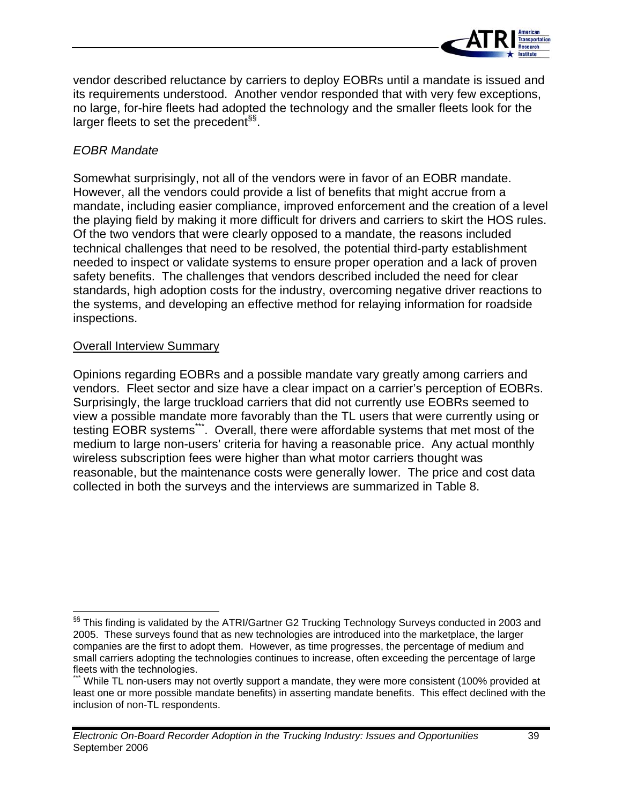

vendor described reluctance by carriers to deploy EOBRs until a mandate is issued and its requirements understood. Another vendor responded that with very few exceptions, no large, for-hire fleets had adopted the technology and the smaller fleets look for the larger fleets to set the precedent<sup>§§</sup>.

#### *EOBR Mandate*

Somewhat surprisingly, not all of the vendors were in favor of an EOBR mandate. However, all the vendors could provide a list of benefits that might accrue from a mandate, including easier compliance, improved enforcement and the creation of a level the playing field by making it more difficult for drivers and carriers to skirt the HOS rules. Of the two vendors that were clearly opposed to a mandate, the reasons included technical challenges that need to be resolved, the potential third-party establishment needed to inspect or validate systems to ensure proper operation and a lack of proven safety benefits. The challenges that vendors described included the need for clear standards, high adoption costs for the industry, overcoming negative driver reactions to the systems, and developing an effective method for relaying information for roadside inspections.

#### Overall Interview Summary

Opinions regarding EOBRs and a possible mandate vary greatly among carriers and vendors. Fleet sector and size have a clear impact on a carrier's perception of EOBRs. Surprisingly, the large truckload carriers that did not currently use EOBRs seemed to view a possible mandate more favorably than the TL users that were currently using or testing EOBR systems\*\*\*. Overall, there were affordable systems that met most of the medium to large non-users' criteria for having a reasonable price. Any actual monthly wireless subscription fees were higher than what motor carriers thought was reasonable, but the maintenance costs were generally lower. The price and cost data collected in both the surveys and the interviews are summarized in Table 8.

<sup>&</sup>lt;sup>§§</sup> This finding is validated by the ATRI/Gartner G2 Trucking Technology Surveys conducted in 2003 and 2005. These surveys found that as new technologies are introduced into the marketplace, the larger companies are the first to adopt them. However, as time progresses, the percentage of medium and small carriers adopting the technologies continues to increase, often exceeding the percentage of large fleets with the technologies.

While TL non-users may not overtly support a mandate, they were more consistent (100% provided at least one or more possible mandate benefits) in asserting mandate benefits. This effect declined with the inclusion of non-TL respondents.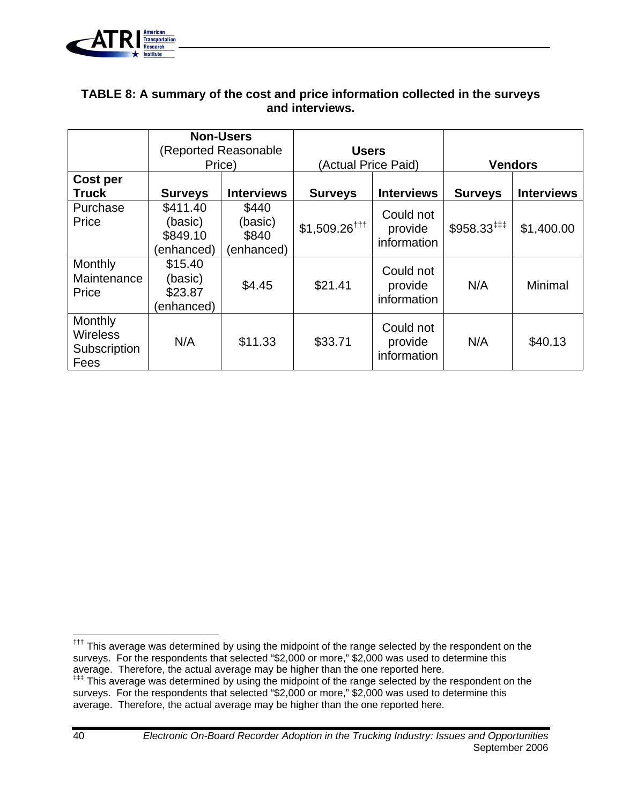

#### **TABLE 8: A summary of the cost and price information collected in the surveys and interviews.**

|                                                    | <b>Non-Users</b><br>(Reported Reasonable)<br>Price) |                                         | <b>Users</b><br>(Actual Price Paid) |                                     | <b>Vendors</b>           |                   |
|----------------------------------------------------|-----------------------------------------------------|-----------------------------------------|-------------------------------------|-------------------------------------|--------------------------|-------------------|
| Cost per<br><b>Truck</b>                           | <b>Surveys</b>                                      | <b>Interviews</b>                       | <b>Surveys</b>                      | <b>Interviews</b>                   | <b>Surveys</b>           | <b>Interviews</b> |
| Purchase<br>Price                                  | \$411.40<br>(basic)<br>\$849.10<br>(enhanced)       | \$440<br>(basic)<br>\$840<br>(enhanced) | $$1,509.26$ <sup>†††</sup>          | Could not<br>provide<br>information | $$958.33$ <sup>###</sup> | \$1,400.00        |
| Monthly<br>Maintenance<br>Price                    | \$15.40<br>(basic)<br>\$23.87<br>(enhanced)         | \$4.45                                  | \$21.41                             | Could not<br>provide<br>information | N/A                      | Minimal           |
| Monthly<br><b>Wireless</b><br>Subscription<br>Fees | N/A                                                 | \$11.33                                 | \$33.71                             | Could not<br>provide<br>information | N/A                      | \$40.13           |

<sup>&</sup>lt;sup>†††</sup> This average was determined by using the midpoint of the range selected by the respondent on the surveys. For the respondents that selected "\$2,000 or more," \$2,000 was used to determine this average. Therefore, the actual average may be higher than the one reported here. ‡‡‡ This average was determined by using the midpoint of the range selected by the respondent on the surveys. For the respondents that selected "\$2,000 or more," \$2,000 was used to determine this average. Therefore, the actual average may be higher than the one reported here.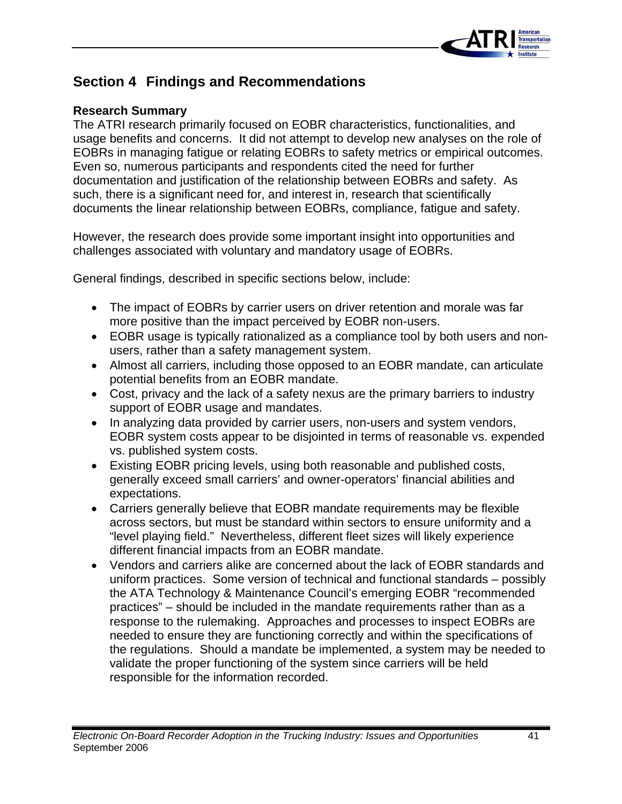

### **Section 4 Findings and Recommendations**

#### **Research Summary**

The ATRI research primarily focused on EOBR characteristics, functionalities, and usage benefits and concerns. It did not attempt to develop new analyses on the role of EOBRs in managing fatigue or relating EOBRs to safety metrics or empirical outcomes. Even so, numerous participants and respondents cited the need for further documentation and justification of the relationship between EOBRs and safety. As such, there is a significant need for, and interest in, research that scientifically documents the linear relationship between EOBRs, compliance, fatigue and safety.

However, the research does provide some important insight into opportunities and challenges associated with voluntary and mandatory usage of EOBRs.

General findings, described in specific sections below, include:

- The impact of EOBRs by carrier users on driver retention and morale was far more positive than the impact perceived by EOBR non-users.
- EOBR usage is typically rationalized as a compliance tool by both users and nonusers, rather than a safety management system.
- Almost all carriers, including those opposed to an EOBR mandate, can articulate potential benefits from an EOBR mandate.
- Cost, privacy and the lack of a safety nexus are the primary barriers to industry support of EOBR usage and mandates.
- In analyzing data provided by carrier users, non-users and system vendors, EOBR system costs appear to be disjointed in terms of reasonable vs. expended vs. published system costs.
- Existing EOBR pricing levels, using both reasonable and published costs, generally exceed small carriers' and owner-operators' financial abilities and expectations.
- Carriers generally believe that EOBR mandate requirements may be flexible across sectors, but must be standard within sectors to ensure uniformity and a "level playing field." Nevertheless, different fleet sizes will likely experience different financial impacts from an EOBR mandate.
- Vendors and carriers alike are concerned about the lack of EOBR standards and uniform practices. Some version of technical and functional standards – possibly the ATA Technology & Maintenance Council's emerging EOBR "recommended practices" – should be included in the mandate requirements rather than as a response to the rulemaking. Approaches and processes to inspect EOBRs are needed to ensure they are functioning correctly and within the specifications of the regulations. Should a mandate be implemented, a system may be needed to validate the proper functioning of the system since carriers will be held responsible for the information recorded.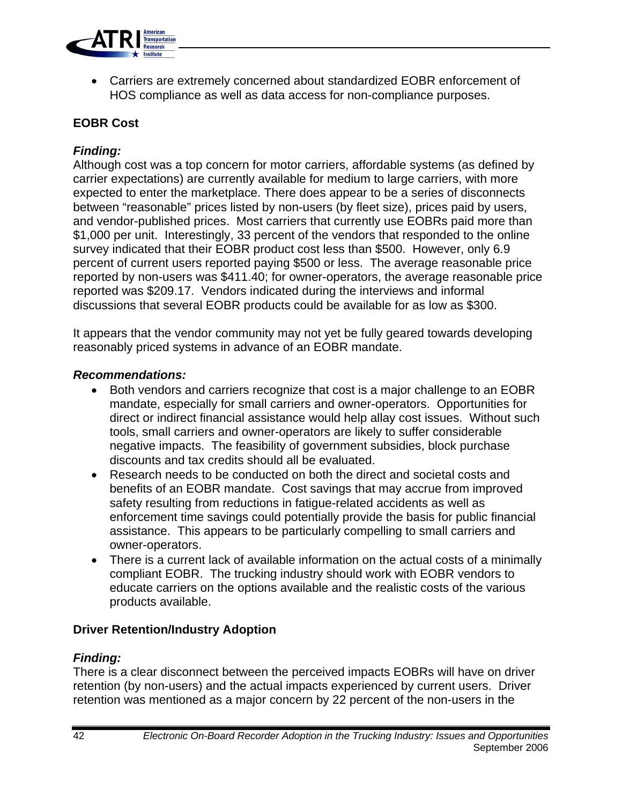

• Carriers are extremely concerned about standardized EOBR enforcement of HOS compliance as well as data access for non-compliance purposes.

#### **EOBR Cost**

#### *Finding:*

Although cost was a top concern for motor carriers, affordable systems (as defined by carrier expectations) are currently available for medium to large carriers, with more expected to enter the marketplace. There does appear to be a series of disconnects between "reasonable" prices listed by non-users (by fleet size), prices paid by users, and vendor-published prices. Most carriers that currently use EOBRs paid more than \$1,000 per unit. Interestingly, 33 percent of the vendors that responded to the online survey indicated that their EOBR product cost less than \$500. However, only 6.9 percent of current users reported paying \$500 or less. The average reasonable price reported by non-users was \$411.40; for owner-operators, the average reasonable price reported was \$209.17. Vendors indicated during the interviews and informal discussions that several EOBR products could be available for as low as \$300.

It appears that the vendor community may not yet be fully geared towards developing reasonably priced systems in advance of an EOBR mandate.

#### *Recommendations:*

- Both vendors and carriers recognize that cost is a major challenge to an EOBR mandate, especially for small carriers and owner-operators. Opportunities for direct or indirect financial assistance would help allay cost issues. Without such tools, small carriers and owner-operators are likely to suffer considerable negative impacts. The feasibility of government subsidies, block purchase discounts and tax credits should all be evaluated.
- Research needs to be conducted on both the direct and societal costs and benefits of an EOBR mandate. Cost savings that may accrue from improved safety resulting from reductions in fatigue-related accidents as well as enforcement time savings could potentially provide the basis for public financial assistance. This appears to be particularly compelling to small carriers and owner-operators.
- There is a current lack of available information on the actual costs of a minimally compliant EOBR. The trucking industry should work with EOBR vendors to educate carriers on the options available and the realistic costs of the various products available.

#### **Driver Retention/Industry Adoption**

#### *Finding:*

There is a clear disconnect between the perceived impacts EOBRs will have on driver retention (by non-users) and the actual impacts experienced by current users. Driver retention was mentioned as a major concern by 22 percent of the non-users in the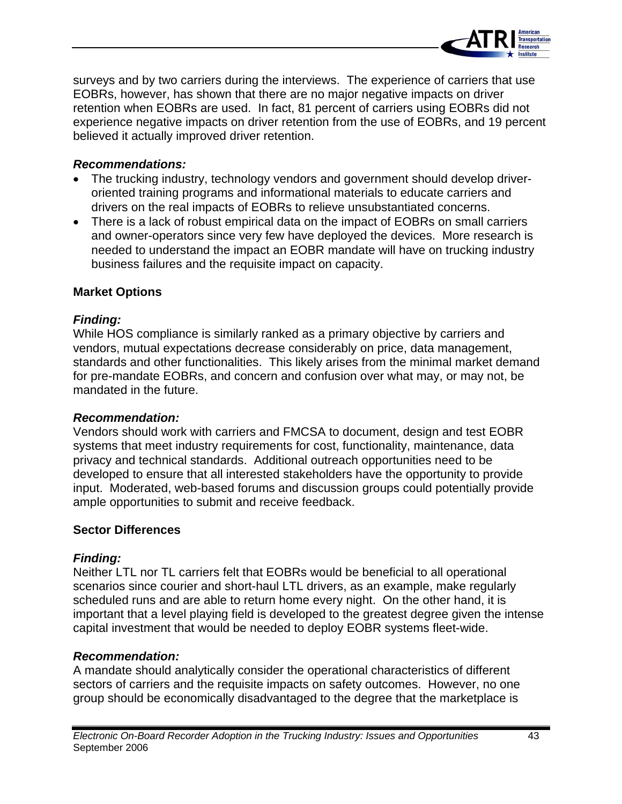

surveys and by two carriers during the interviews. The experience of carriers that use EOBRs, however, has shown that there are no major negative impacts on driver retention when EOBRs are used. In fact, 81 percent of carriers using EOBRs did not experience negative impacts on driver retention from the use of EOBRs, and 19 percent believed it actually improved driver retention.

#### *Recommendations:*

- The trucking industry, technology vendors and government should develop driveroriented training programs and informational materials to educate carriers and drivers on the real impacts of EOBRs to relieve unsubstantiated concerns.
- There is a lack of robust empirical data on the impact of EOBRs on small carriers and owner-operators since very few have deployed the devices. More research is needed to understand the impact an EOBR mandate will have on trucking industry business failures and the requisite impact on capacity.

#### **Market Options**

#### *Finding:*

While HOS compliance is similarly ranked as a primary objective by carriers and vendors, mutual expectations decrease considerably on price, data management, standards and other functionalities. This likely arises from the minimal market demand for pre-mandate EOBRs, and concern and confusion over what may, or may not, be mandated in the future.

#### *Recommendation:*

Vendors should work with carriers and FMCSA to document, design and test EOBR systems that meet industry requirements for cost, functionality, maintenance, data privacy and technical standards. Additional outreach opportunities need to be developed to ensure that all interested stakeholders have the opportunity to provide input. Moderated, web-based forums and discussion groups could potentially provide ample opportunities to submit and receive feedback.

#### **Sector Differences**

#### *Finding:*

Neither LTL nor TL carriers felt that EOBRs would be beneficial to all operational scenarios since courier and short-haul LTL drivers, as an example, make regularly scheduled runs and are able to return home every night. On the other hand, it is important that a level playing field is developed to the greatest degree given the intense capital investment that would be needed to deploy EOBR systems fleet-wide.

#### *Recommendation:*

A mandate should analytically consider the operational characteristics of different sectors of carriers and the requisite impacts on safety outcomes. However, no one group should be economically disadvantaged to the degree that the marketplace is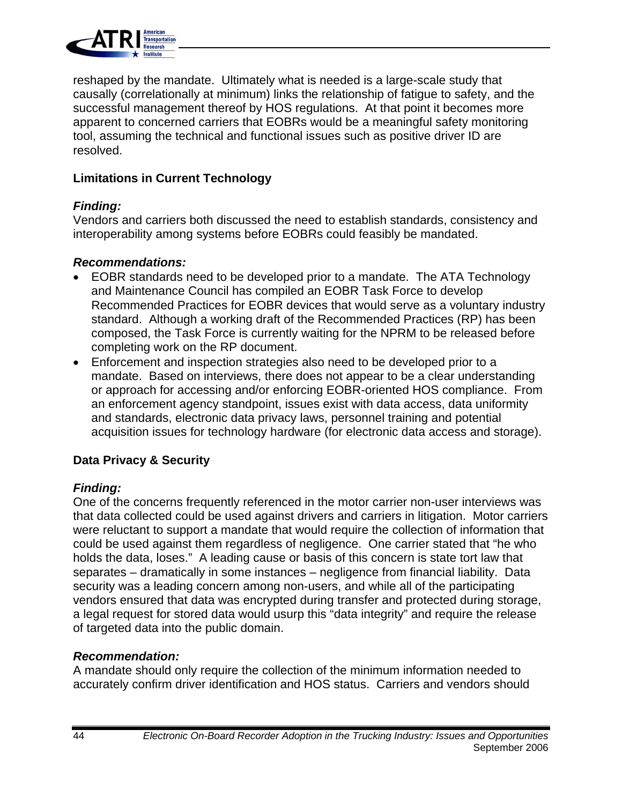

reshaped by the mandate. Ultimately what is needed is a large-scale study that causally (correlationally at minimum) links the relationship of fatigue to safety, and the successful management thereof by HOS regulations. At that point it becomes more apparent to concerned carriers that EOBRs would be a meaningful safety monitoring tool, assuming the technical and functional issues such as positive driver ID are resolved.

#### **Limitations in Current Technology**

#### *Finding:*

Vendors and carriers both discussed the need to establish standards, consistency and interoperability among systems before EOBRs could feasibly be mandated.

#### *Recommendations:*

- EOBR standards need to be developed prior to a mandate. The ATA Technology and Maintenance Council has compiled an EOBR Task Force to develop Recommended Practices for EOBR devices that would serve as a voluntary industry standard. Although a working draft of the Recommended Practices (RP) has been composed, the Task Force is currently waiting for the NPRM to be released before completing work on the RP document.
- Enforcement and inspection strategies also need to be developed prior to a mandate. Based on interviews, there does not appear to be a clear understanding or approach for accessing and/or enforcing EOBR-oriented HOS compliance. From an enforcement agency standpoint, issues exist with data access, data uniformity and standards, electronic data privacy laws, personnel training and potential acquisition issues for technology hardware (for electronic data access and storage).

### **Data Privacy & Security**

### *Finding:*

One of the concerns frequently referenced in the motor carrier non-user interviews was that data collected could be used against drivers and carriers in litigation. Motor carriers were reluctant to support a mandate that would require the collection of information that could be used against them regardless of negligence. One carrier stated that "he who holds the data, loses." A leading cause or basis of this concern is state tort law that separates – dramatically in some instances – negligence from financial liability. Data security was a leading concern among non-users, and while all of the participating vendors ensured that data was encrypted during transfer and protected during storage, a legal request for stored data would usurp this "data integrity" and require the release of targeted data into the public domain.

### *Recommendation:*

A mandate should only require the collection of the minimum information needed to accurately confirm driver identification and HOS status. Carriers and vendors should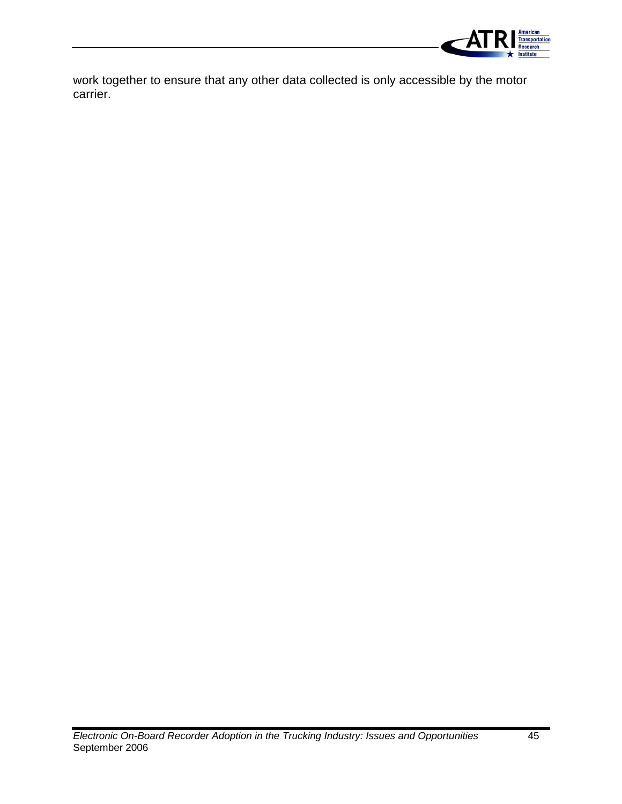

work together to ensure that any other data collected is only accessible by the motor carrier.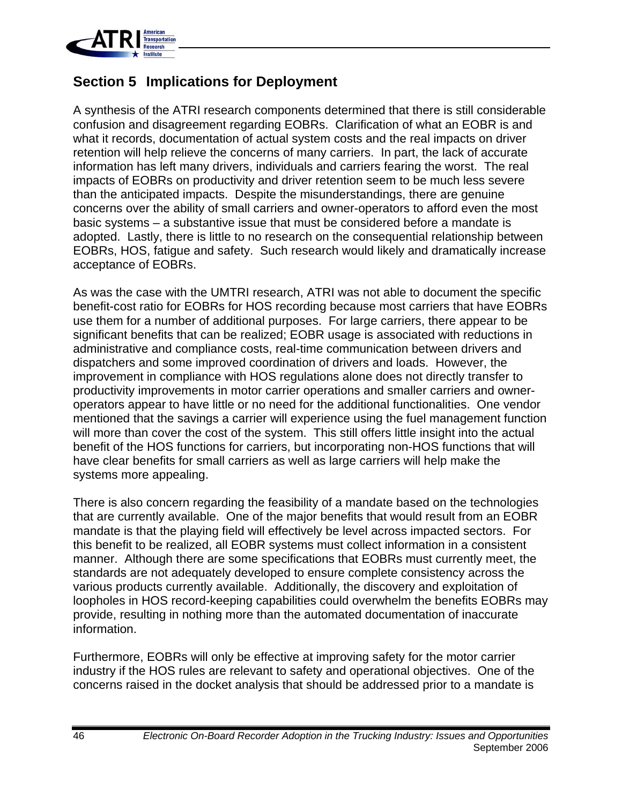

### **Section 5 Implications for Deployment**

A synthesis of the ATRI research components determined that there is still considerable confusion and disagreement regarding EOBRs. Clarification of what an EOBR is and what it records, documentation of actual system costs and the real impacts on driver retention will help relieve the concerns of many carriers. In part, the lack of accurate information has left many drivers, individuals and carriers fearing the worst. The real impacts of EOBRs on productivity and driver retention seem to be much less severe than the anticipated impacts. Despite the misunderstandings, there are genuine concerns over the ability of small carriers and owner-operators to afford even the most basic systems – a substantive issue that must be considered before a mandate is adopted. Lastly, there is little to no research on the consequential relationship between EOBRs, HOS, fatigue and safety. Such research would likely and dramatically increase acceptance of EOBRs.

As was the case with the UMTRI research, ATRI was not able to document the specific benefit-cost ratio for EOBRs for HOS recording because most carriers that have EOBRs use them for a number of additional purposes. For large carriers, there appear to be significant benefits that can be realized; EOBR usage is associated with reductions in administrative and compliance costs, real-time communication between drivers and dispatchers and some improved coordination of drivers and loads. However, the improvement in compliance with HOS regulations alone does not directly transfer to productivity improvements in motor carrier operations and smaller carriers and owneroperators appear to have little or no need for the additional functionalities. One vendor mentioned that the savings a carrier will experience using the fuel management function will more than cover the cost of the system. This still offers little insight into the actual benefit of the HOS functions for carriers, but incorporating non-HOS functions that will have clear benefits for small carriers as well as large carriers will help make the systems more appealing.

There is also concern regarding the feasibility of a mandate based on the technologies that are currently available. One of the major benefits that would result from an EOBR mandate is that the playing field will effectively be level across impacted sectors. For this benefit to be realized, all EOBR systems must collect information in a consistent manner. Although there are some specifications that EOBRs must currently meet, the standards are not adequately developed to ensure complete consistency across the various products currently available. Additionally, the discovery and exploitation of loopholes in HOS record-keeping capabilities could overwhelm the benefits EOBRs may provide, resulting in nothing more than the automated documentation of inaccurate information.

Furthermore, EOBRs will only be effective at improving safety for the motor carrier industry if the HOS rules are relevant to safety and operational objectives. One of the concerns raised in the docket analysis that should be addressed prior to a mandate is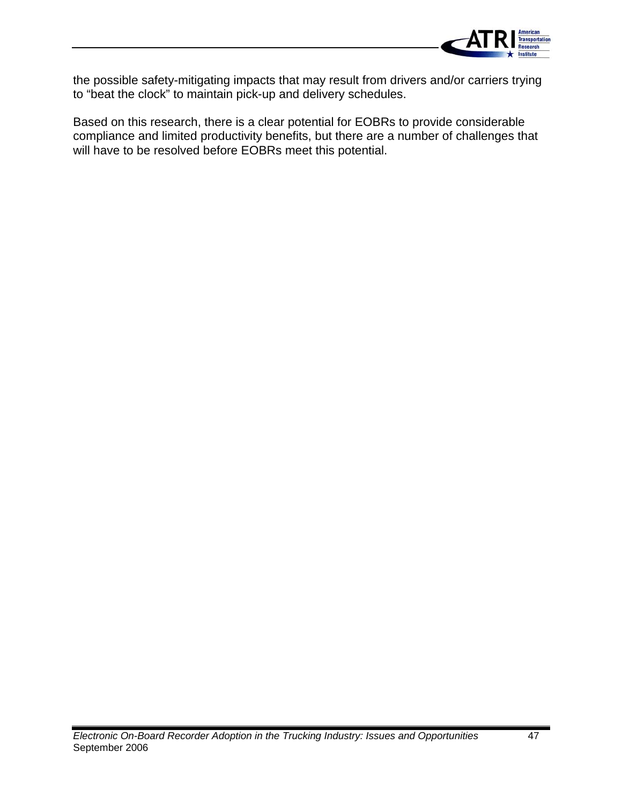

the possible safety-mitigating impacts that may result from drivers and/or carriers trying to "beat the clock" to maintain pick-up and delivery schedules.

Based on this research, there is a clear potential for EOBRs to provide considerable compliance and limited productivity benefits, but there are a number of challenges that will have to be resolved before EOBRs meet this potential.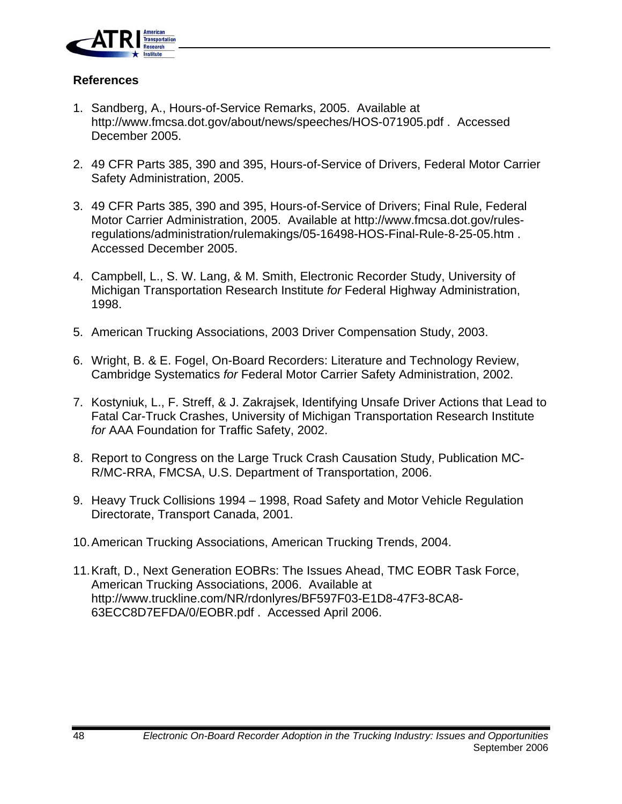

#### **References**

- 1. Sandberg, A., Hours-of-Service Remarks, 2005. Available at http://www.fmcsa.dot.gov/about/news/speeches/HOS-071905.pdf . Accessed December 2005.
- 2. 49 CFR Parts 385, 390 and 395, Hours-of-Service of Drivers, Federal Motor Carrier Safety Administration, 2005.
- 3. 49 CFR Parts 385, 390 and 395, Hours-of-Service of Drivers; Final Rule, Federal Motor Carrier Administration, 2005. Available at http://www.fmcsa.dot.gov/rulesregulations/administration/rulemakings/05-16498-HOS-Final-Rule-8-25-05.htm . Accessed December 2005.
- 4. Campbell, L., S. W. Lang, & M. Smith, Electronic Recorder Study, University of Michigan Transportation Research Institute *for* Federal Highway Administration, 1998.
- 5. American Trucking Associations, 2003 Driver Compensation Study, 2003.
- 6. Wright, B. & E. Fogel, On-Board Recorders: Literature and Technology Review, Cambridge Systematics *for* Federal Motor Carrier Safety Administration, 2002.
- 7. Kostyniuk, L., F. Streff, & J. Zakrajsek, Identifying Unsafe Driver Actions that Lead to Fatal Car-Truck Crashes, University of Michigan Transportation Research Institute *for* AAA Foundation for Traffic Safety, 2002.
- 8. Report to Congress on the Large Truck Crash Causation Study, Publication MC-R/MC-RRA, FMCSA, U.S. Department of Transportation, 2006.
- 9. Heavy Truck Collisions 1994 1998, Road Safety and Motor Vehicle Regulation Directorate, Transport Canada, 2001.
- 10.American Trucking Associations, American Trucking Trends, 2004.
- 11.Kraft, D., Next Generation EOBRs: The Issues Ahead, TMC EOBR Task Force, American Trucking Associations, 2006. Available at http://www.truckline.com/NR/rdonlyres/BF597F03-E1D8-47F3-8CA8- 63ECC8D7EFDA/0/EOBR.pdf . Accessed April 2006.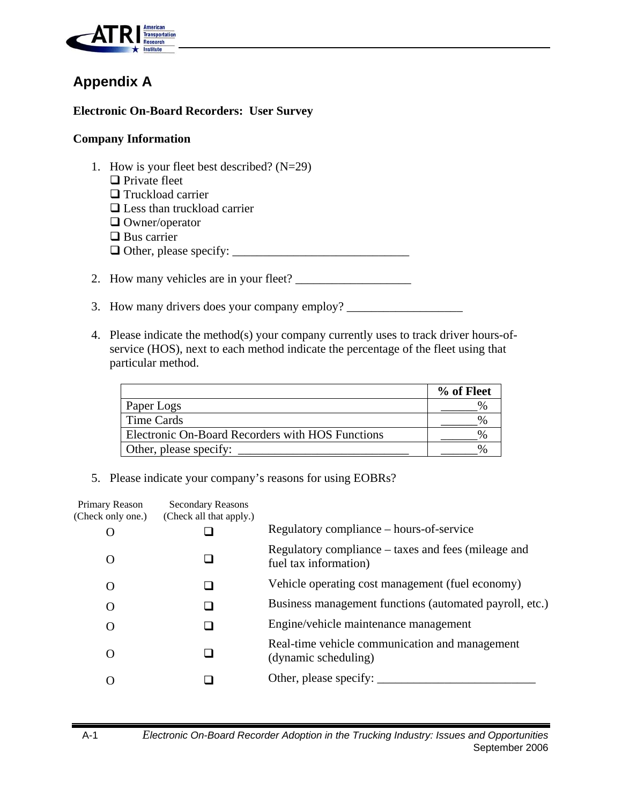

### **Appendix A**

#### **Electronic On-Board Recorders: User Survey**

#### **Company Information**

- 1. How is your fleet best described? (N=29)  $\Box$  Private fleet **Truckload carrier** □ Less than truckload carrier □ Owner/operator **□** Bus carrier Other, please specify: \_\_\_\_\_\_\_\_\_\_\_\_\_\_\_\_\_\_\_\_\_\_\_\_\_\_\_\_\_ 2. How many vehicles are in your fleet? \_\_\_\_\_\_\_\_\_\_\_\_\_\_\_\_\_\_\_
- 3. How many drivers does your company employ? \_\_\_\_\_\_\_\_\_\_\_\_\_\_\_\_\_\_\_\_\_\_\_\_\_\_\_\_\_\_\_\_\_\_\_
- 4. Please indicate the method(s) your company currently uses to track driver hours-ofservice (HOS), next to each method indicate the percentage of the fleet using that particular method.

|                                                  | % of Fleet |
|--------------------------------------------------|------------|
| Paper Logs                                       |            |
| Time Cards                                       |            |
| Electronic On-Board Recorders with HOS Functions |            |
| Other, please specify:                           |            |

5. Please indicate your company's reasons for using EOBRs?

| Primary Reason<br>(Check only one.) | <b>Secondary Reasons</b><br>(Check all that apply.) |                                                                              |
|-------------------------------------|-----------------------------------------------------|------------------------------------------------------------------------------|
|                                     |                                                     | Regulatory compliance – hours-of-service                                     |
| $\Omega$                            |                                                     | Regulatory compliance – taxes and fees (mileage and<br>fuel tax information) |
| $\Omega$                            |                                                     | Vehicle operating cost management (fuel economy)                             |
| $\Omega$                            |                                                     | Business management functions (automated payroll, etc.)                      |
| O                                   |                                                     | Engine/vehicle maintenance management                                        |
| $\Omega$                            |                                                     | Real-time vehicle communication and management<br>(dynamic scheduling)       |
|                                     |                                                     | Other, please specify: $\overline{\phantom{a}}$                              |
|                                     |                                                     |                                                                              |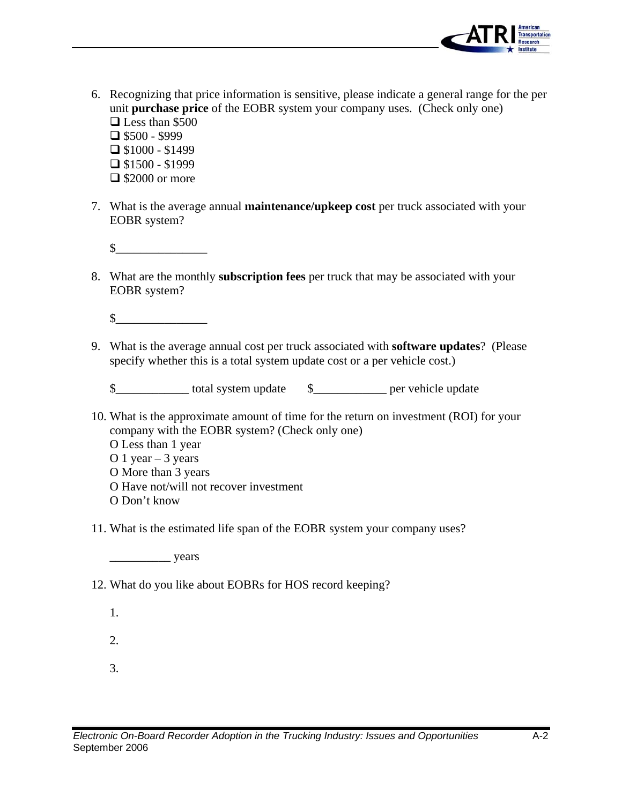

- 6. Recognizing that price information is sensitive, please indicate a general range for the per unit **purchase price** of the EOBR system your company uses. (Check only one) □ Less than \$500  $\Box$  \$500 - \$999  $\Box$  \$1000 - \$1499  $\Box$  \$1500 - \$1999  $\Box$  \$2000 or more
- 7. What is the average annual **maintenance/upkeep cost** per truck associated with your EOBR system?

 $\sim$ 

8. What are the monthly **subscription fees** per truck that may be associated with your EOBR system?

 $\sim$ 

9. What is the average annual cost per truck associated with **software updates**? (Please specify whether this is a total system update cost or a per vehicle cost.)

\$\_\_\_\_\_\_\_\_\_\_\_\_ total system update \$\_\_\_\_\_\_\_\_\_\_\_\_ per vehicle update

10. What is the approximate amount of time for the return on investment (ROI) for your company with the EOBR system? (Check only one)

O Less than 1 year

O 1 year  $-3$  years

O More than 3 years

- O Have not/will not recover investment
- O Don't know
- 11. What is the estimated life span of the EOBR system your company uses?

\_\_\_\_\_\_\_\_\_\_ years

12. What do you like about EOBRs for HOS record keeping?

1.

2.

3.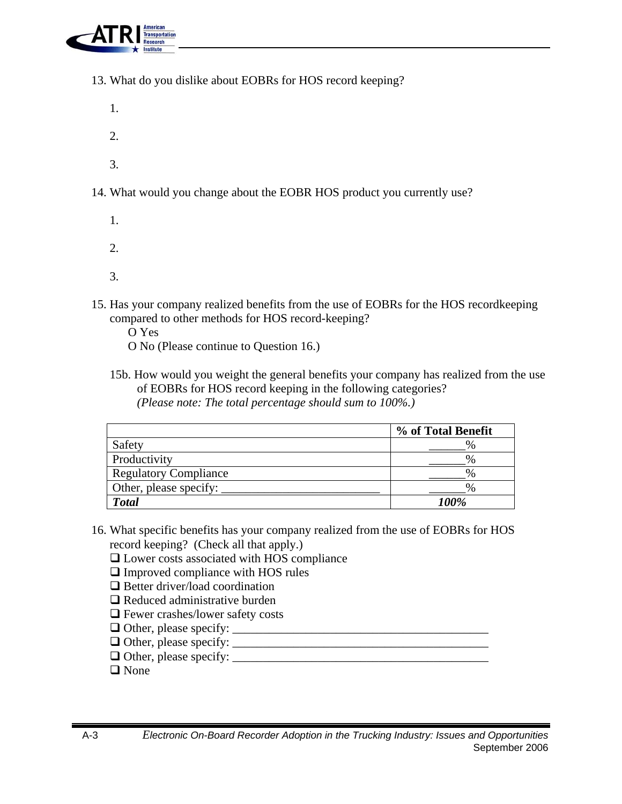

- 13. What do you dislike about EOBRs for HOS record keeping?
- 1.  $2<sub>1</sub>$ 3. 14. What would you change about the EOBR HOS product you currently use? 1.
	- 2.
	- 3.
- 15. Has your company realized benefits from the use of EOBRs for the HOS recordkeeping compared to other methods for HOS record-keeping?
	- O Yes
	- O No (Please continue to Question 16.)
	- 15b. How would you weight the general benefits your company has realized from the use of EOBRs for HOS record keeping in the following categories? *(Please note: The total percentage should sum to 100%.)*

|                              | % of Total Benefit |
|------------------------------|--------------------|
| Safety                       | $\%$               |
| Productivity                 | $\%$               |
| <b>Regulatory Compliance</b> | $\%$               |
| Other, please specify:       | $\%$               |
| <b>Total</b>                 | 100%               |

- 16. What specific benefits has your company realized from the use of EOBRs for HOS record keeping? (Check all that apply.)
	- □ Lower costs associated with HOS compliance
	- □ Improved compliance with HOS rules
	- □ Better driver/load coordination
	- $\Box$  Reduced administrative burden
	- □ Fewer crashes/lower safety costs
	- Other, please specify: \_\_\_\_\_\_\_\_\_\_\_\_\_\_\_\_\_\_\_\_\_\_\_\_\_\_\_\_\_\_\_\_\_\_\_\_\_\_\_\_\_\_
	- Other, please specify: \_\_\_\_\_\_\_\_\_\_\_\_\_\_\_\_\_\_\_\_\_\_\_\_\_\_\_\_\_\_\_\_\_\_\_\_\_\_\_\_\_\_
	- Other, please specify: \_\_\_\_\_\_\_\_\_\_\_\_\_\_\_\_\_\_\_\_\_\_\_\_\_\_\_\_\_\_\_\_\_\_\_\_\_\_\_\_\_\_
	- $\Box$  None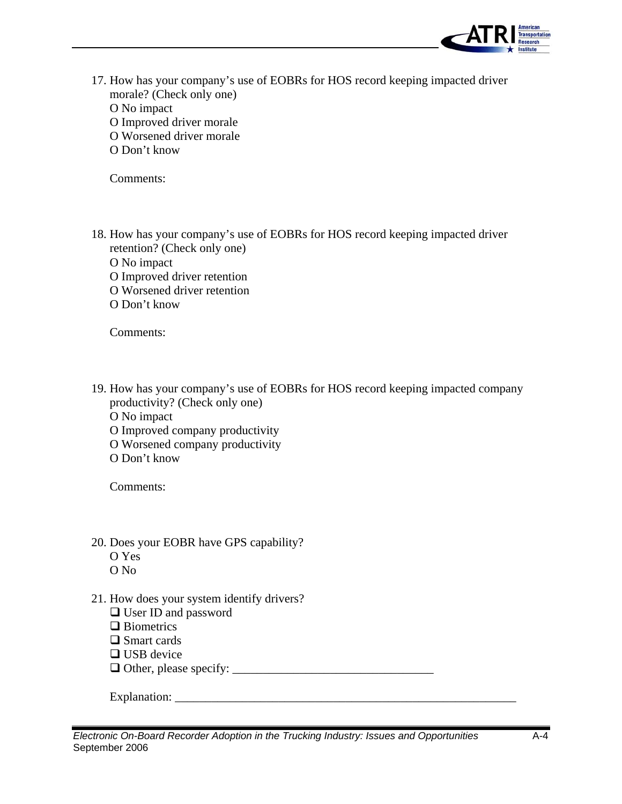

17. How has your company's use of EOBRs for HOS record keeping impacted driver morale? (Check only one) O No impact O Improved driver morale O Worsened driver morale O Don't know

Comments:

18. How has your company's use of EOBRs for HOS record keeping impacted driver retention? (Check only one) O No impact O Improved driver retention O Worsened driver retention O Don't know

Comments:

- 19. How has your company's use of EOBRs for HOS record keeping impacted company productivity? (Check only one)
	- O No impact
	- O Improved company productivity
	- O Worsened company productivity
	- O Don't know

Comments:

- 20. Does your EOBR have GPS capability? O Yes
	- O No
- 
- 21. How does your system identify drivers?
	- □ User ID and password
	- **□** Biometrics
	- **□** Smart cards
	- $\Box$  USB device
	- Other, please specify: \_\_\_\_\_\_\_\_\_\_\_\_\_\_\_\_\_\_\_\_\_\_\_\_\_\_\_\_\_\_\_\_\_

Explanation: \_\_\_\_\_\_\_\_\_\_\_\_\_\_\_\_\_\_\_\_\_\_\_\_\_\_\_\_\_\_\_\_\_\_\_\_\_\_\_\_\_\_\_\_\_\_\_\_\_\_\_\_\_\_\_\_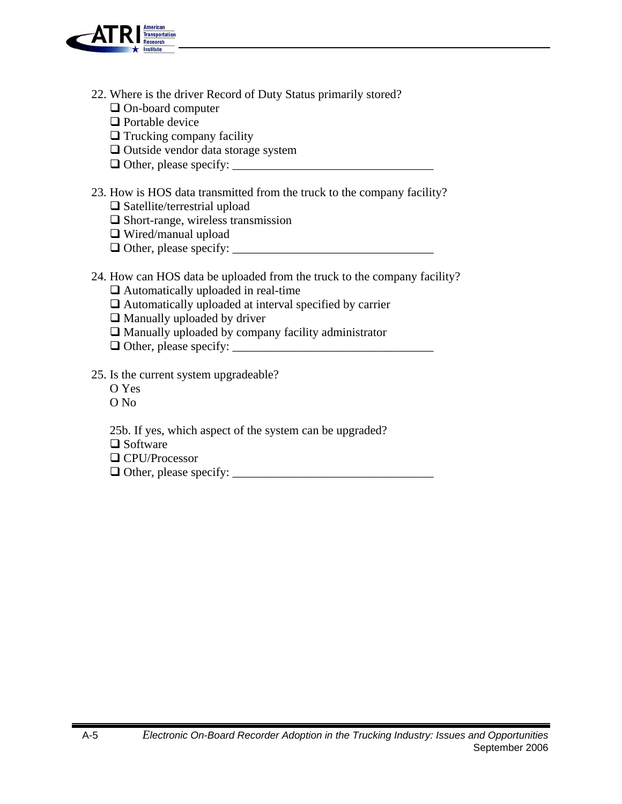

- 22. Where is the driver Record of Duty Status primarily stored?
	- □ On-board computer
	- **Q** Portable device
	- $\hfill\Box$  <br> Trucking company facility
	- □ Outside vendor data storage system
	- Other, please specify: \_\_\_\_\_\_\_\_\_\_\_\_\_\_\_\_\_\_\_\_\_\_\_\_\_\_\_\_\_\_\_\_\_
- 23. How is HOS data transmitted from the truck to the company facility?
	- $\Box$  Satellite/terrestrial upload
	- □ Short-range, wireless transmission
	- Wired/manual upload
	- Other, please specify: \_\_\_\_\_\_\_\_\_\_\_\_\_\_\_\_\_\_\_\_\_\_\_\_\_\_\_\_\_\_\_\_\_
- 24. How can HOS data be uploaded from the truck to the company facility?
	- □ Automatically uploaded in real-time
	- Automatically uploaded at interval specified by carrier
	- $\hfill\Box$  Manually uploaded by driver
	- Manually uploaded by company facility administrator
	- Other, please specify: \_\_\_\_\_\_\_\_\_\_\_\_\_\_\_\_\_\_\_\_\_\_\_\_\_\_\_\_\_\_\_\_\_
- 25. Is the current system upgradeable?
	- O Yes
	- O No
	- 25b. If yes, which aspect of the system can be upgraded?
	- $\Box$  Software
	- □ CPU/Processor
	- Other, please specify: \_\_\_\_\_\_\_\_\_\_\_\_\_\_\_\_\_\_\_\_\_\_\_\_\_\_\_\_\_\_\_\_\_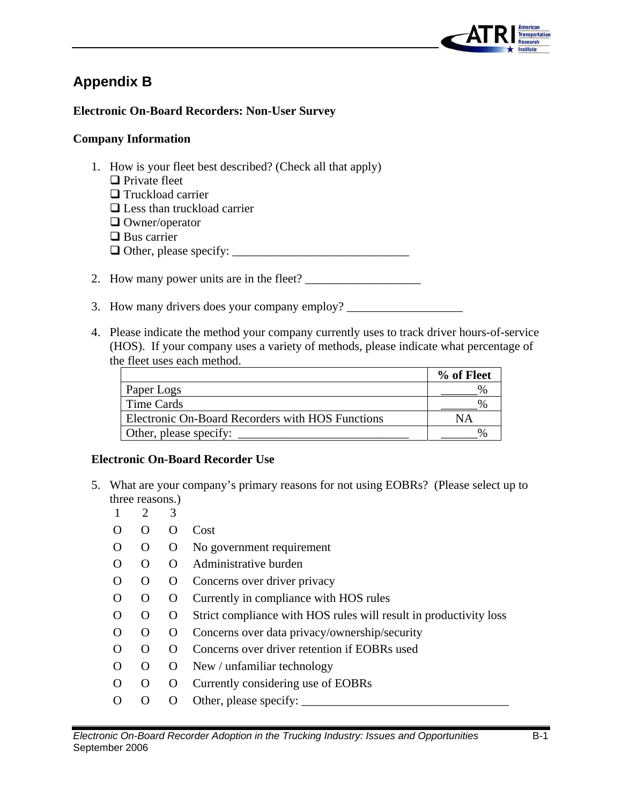

### **Appendix B**

#### **Electronic On-Board Recorders: Non-User Survey**

#### **Company Information**

- 1. How is your fleet best described? (Check all that apply)  $\Box$  Private fleet **T**ruckload carrier  $\Box$  Less than truckload carrier □ Owner/operator  $\Box$  Bus carrier Other, please specify: \_\_\_\_\_\_\_\_\_\_\_\_\_\_\_\_\_\_\_\_\_\_\_\_\_\_\_\_\_
- 2. How many power units are in the fleet? \_\_\_\_\_\_\_\_\_\_\_\_\_\_\_\_\_\_\_
- 3. How many drivers does your company employ? \_\_\_\_\_\_\_\_\_\_\_\_\_\_\_\_\_\_\_\_\_\_\_\_\_\_\_\_\_\_\_\_\_\_\_
- 4. Please indicate the method your company currently uses to track driver hours-of-service (HOS). If your company uses a variety of methods, please indicate what percentage of the fleet uses each method.

|                                                  | % of Fleet |
|--------------------------------------------------|------------|
| Paper Logs                                       |            |
| Time Cards                                       |            |
| Electronic On-Board Recorders with HOS Functions |            |
| Other, please specify:                           |            |

#### **Electronic On-Board Recorder Use**

- 5. What are your company's primary reasons for not using EOBRs? (Please select up to three reasons.)
	- 1 2 3
	- O O O Cost
	- O O O No government requirement
	- O O O Administrative burden
	- O O O Concerns over driver privacy
	- O O O Currently in compliance with HOS rules
	- O O O Strict compliance with HOS rules will result in productivity loss
	- O O O Concerns over data privacy/ownership/security
	- O O O Concerns over driver retention if EOBRs used
	- O O O New / unfamiliar technology
	- O O O Currently considering use of EOBRs
	- O O O Other, please specify: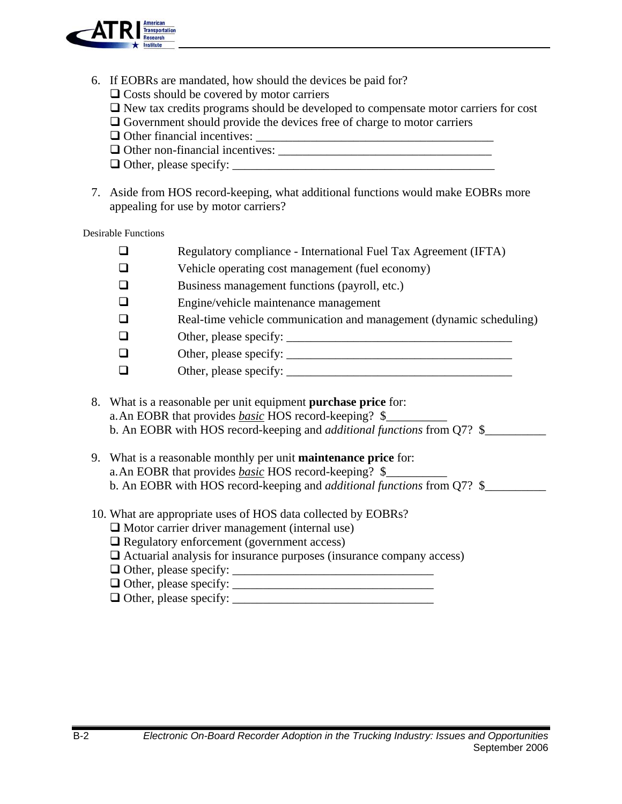

- 6. If EOBRs are mandated, how should the devices be paid for?
	- $\Box$  Costs should be covered by motor carriers
	- New tax credits programs should be developed to compensate motor carriers for cost
	- Government should provide the devices free of charge to motor carriers
	- Other financial incentives: \_\_\_\_\_\_\_\_\_\_\_\_\_\_\_\_\_\_\_\_\_\_\_\_\_\_\_\_\_\_\_\_\_\_\_\_\_\_\_
	- Other non-financial incentives: \_\_\_\_\_\_\_\_\_\_\_\_\_\_\_\_\_\_\_\_\_\_\_\_\_\_\_\_\_\_\_\_\_\_\_
	- Other, please specify: \_\_\_\_\_\_\_\_\_\_\_\_\_\_\_\_\_\_\_\_\_\_\_\_\_\_\_\_\_\_\_\_\_\_\_\_\_\_\_\_\_\_\_
- 7. Aside from HOS record-keeping, what additional functions would make EOBRs more appealing for use by motor carriers?

Desirable Functions

| $\Box$ | Regulatory compliance - International Fuel Tax Agreement (IFTA)     |
|--------|---------------------------------------------------------------------|
| ❏      | Vehicle operating cost management (fuel economy)                    |
| ❏      | Business management functions (payroll, etc.)                       |
| $\Box$ | Engine/vehicle maintenance management                               |
| $\Box$ | Real-time vehicle communication and management (dynamic scheduling) |
| ❏      |                                                                     |
| $\Box$ | Other, please specify:                                              |
| ❏      | Other, please specify:                                              |
|        |                                                                     |

- 8. What is a reasonable per unit equipment **purchase price** for: a.An EOBR that provides *basic* HOS record-keeping? \$\_\_\_\_\_\_\_\_\_\_ b. An EOBR with HOS record-keeping and *additional functions* from Q7? \$\_\_\_\_\_\_\_\_\_\_
- 9. What is a reasonable monthly per unit **maintenance price** for: a.An EOBR that provides *basic* HOS record-keeping? \$\_\_\_\_\_\_\_\_\_\_ b. An EOBR with HOS record-keeping and *additional functions* from Q7? \$\_\_\_\_\_\_\_\_\_\_
- 10. What are appropriate uses of HOS data collected by EOBRs?
	- $\Box$  Motor carrier driver management (internal use)
	- □ Regulatory enforcement (government access)
	- $\Box$  Actuarial analysis for insurance purposes (insurance company access)
	- Other, please specify: \_\_\_\_\_\_\_\_\_\_\_\_\_\_\_\_\_\_\_\_\_\_\_\_\_\_\_\_\_\_\_\_\_
	- Other, please specify: \_\_\_\_\_\_\_\_\_\_\_\_\_\_\_\_\_\_\_\_\_\_\_\_\_\_\_\_\_\_\_\_\_
	- $\Box$  Other, please specify: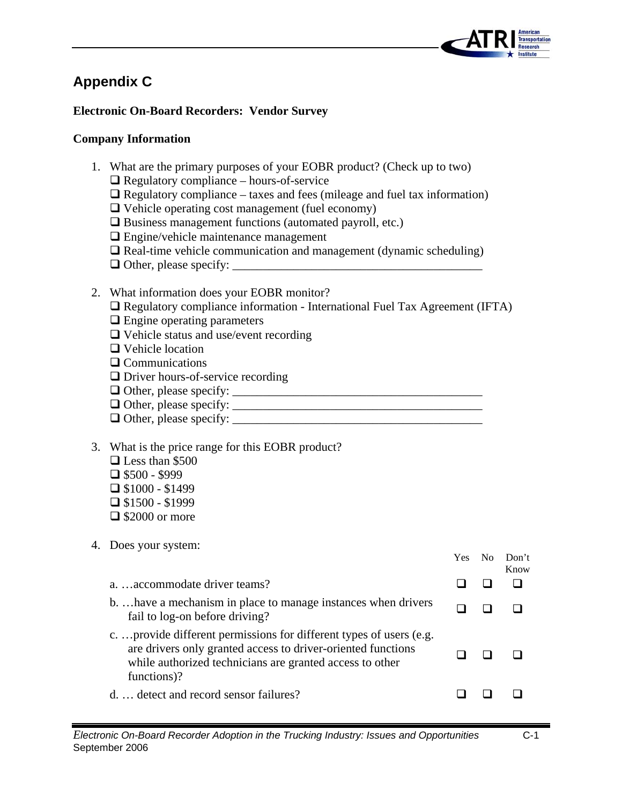

### **Appendix C**

#### **Electronic On-Board Recorders: Vendor Survey**

#### **Company Information**

- 1. What are the primary purposes of your EOBR product? (Check up to two)
	- Regulatory compliance hours-of-service
	- $\Box$  Regulatory compliance taxes and fees (mileage and fuel tax information)
	- $\Box$  Vehicle operating cost management (fuel economy)
	- $\square$  Business management functions (automated payroll, etc.)
	- **Engine/vehicle maintenance management**
	- $\Box$  Real-time vehicle communication and management (dynamic scheduling)
	- Other, please specify: \_\_\_\_\_\_\_\_\_\_\_\_\_\_\_\_\_\_\_\_\_\_\_\_\_\_\_\_\_\_\_\_\_\_\_\_\_\_\_\_\_
- 2. What information does your EOBR monitor?
	- $\Box$  Regulatory compliance information International Fuel Tax Agreement (IFTA)
	- **Q** Engine operating parameters
	- Vehicle status and use/event recording
	- □ Vehicle location
	- **Q** Communications
	- □ Driver hours-of-service recording
	- Other, please specify: \_\_\_\_\_\_\_\_\_\_\_\_\_\_\_\_\_\_\_\_\_\_\_\_\_\_\_\_\_\_\_\_\_\_\_\_\_\_\_\_\_
	- Other, please specify: \_\_\_\_\_\_\_\_\_\_\_\_\_\_\_\_\_\_\_\_\_\_\_\_\_\_\_\_\_\_\_\_\_\_\_\_\_\_\_\_\_
	- $\Box$  Other, please specify:
- 3. What is the price range for this EOBR product?
	- $\Box$  Less than \$500  $\Box$  \$500 - \$999  $\Box$  \$1000 - \$1499
	- $\Box$  \$1500 \$1999
	- $\Box$  \$2000 or more
- 4. Does your system:

|                                                                                                                                                                                                               | Yes. | $N_{\Omega}$ | Don't<br>Know |
|---------------------------------------------------------------------------------------------------------------------------------------------------------------------------------------------------------------|------|--------------|---------------|
| aaccommodate driver teams?                                                                                                                                                                                    |      |              |               |
| b have a mechanism in place to manage instances when drivers<br>fail to log-on before driving?                                                                                                                |      |              |               |
| c provide different permissions for different types of users (e.g.<br>are drivers only granted access to driver-oriented functions<br>while authorized technicians are granted access to other<br>functions)? |      |              |               |
| d detect and record sensor failures?                                                                                                                                                                          |      |              |               |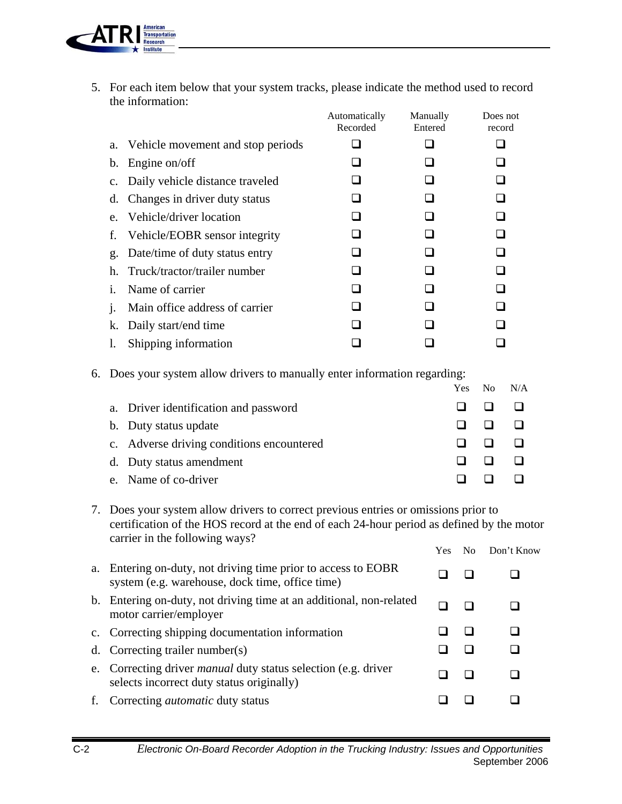

5. For each item below that your system tracks, please indicate the method used to record the information:

|                |                                      | Automatically<br>Recorded | Manually<br>Entered | Does not<br>record |
|----------------|--------------------------------------|---------------------------|---------------------|--------------------|
|                | a. Vehicle movement and stop periods |                           |                     |                    |
|                | b. Engine on/off                     |                           |                     |                    |
|                | c. Daily vehicle distance traveled   |                           |                     |                    |
| d.             | Changes in driver duty status        |                           |                     |                    |
| $e_{-}$        | Vehicle/driver location              |                           |                     |                    |
|                | f. Vehicle/EOBR sensor integrity     |                           |                     |                    |
|                | g. Date/time of duty status entry    |                           |                     |                    |
| h.             | Truck/tractor/trailer number         |                           |                     |                    |
| $\mathbf{1}$ . | Name of carrier                      |                           |                     |                    |
| $\mathbf{1}$ . | Main office address of carrier       |                           |                     |                    |
|                | k. Daily start/end time              |                           |                     |                    |
| I.             | Shipping information                 |                           |                     |                    |

6. Does your system allow drivers to manually enter information regarding:

|                                           |  | Yes No N/A |
|-------------------------------------------|--|------------|
| a. Driver identification and password     |  |            |
| b. Duty status update                     |  |            |
| c. Adverse driving conditions encountered |  |            |
| d. Duty status amendment                  |  |            |
| e. Name of co-driver                      |  |            |

7. Does your system allow drivers to correct previous entries or omissions prior to certification of the HOS record at the end of each 24-hour period as defined by the motor carrier in the following ways?

|    |                                                                                                                    | Yes. | No | Don't Know |
|----|--------------------------------------------------------------------------------------------------------------------|------|----|------------|
|    | a. Entering on-duty, not driving time prior to access to EOBR<br>system (e.g. warehouse, dock time, office time)   |      |    |            |
|    | b. Entering on-duty, not driving time at an additional, non-related<br>motor carrier/employer                      |      |    |            |
|    | c. Correcting shipping documentation information                                                                   |      |    |            |
|    | d. Correcting trailer number(s)                                                                                    |      |    |            |
|    | e. Correcting driver <i>manual</i> duty status selection (e.g. driver<br>selects incorrect duty status originally) |      |    |            |
| f. | Correcting <i>automatic</i> duty status                                                                            |      |    |            |
|    |                                                                                                                    |      |    |            |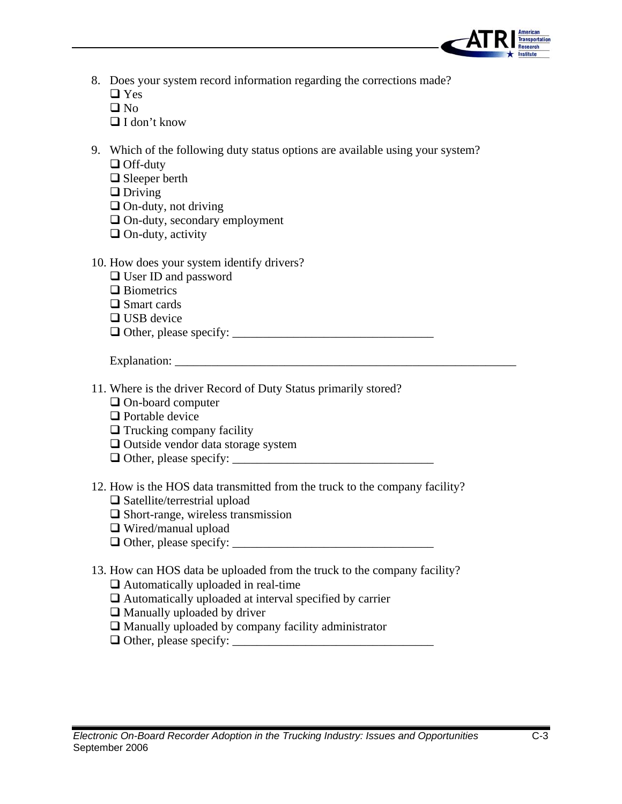

- 8. Does your system record information regarding the corrections made?  $\Box$  Yes
	- $\Box$  No
	- $\Box$  I don't know
- 9. Which of the following duty status options are available using your system? □ Off-duty
	- □ Sleeper berth
	- $\Box$  Driving
	- $\Box$  On-duty, not driving
	- $\Box$  On-duty, secondary employment
	- $\Box$  On-duty, activity
- 10. How does your system identify drivers?
	- □ User ID and password
	- □ Biometrics
	- □ Smart cards
	- □ USB device
	- Other, please specify: \_\_\_\_\_\_\_\_\_\_\_\_\_\_\_\_\_\_\_\_\_\_\_\_\_\_\_\_\_\_\_\_\_

Explanation: \_\_\_\_\_\_\_\_\_\_\_\_\_\_\_\_\_\_\_\_\_\_\_\_\_\_\_\_\_\_\_\_\_\_\_\_\_\_\_\_\_\_\_\_\_\_\_\_\_\_\_\_\_\_\_\_

- 11. Where is the driver Record of Duty Status primarily stored?
	- □ On-board computer
	- □ Portable device
	- $\Box$  Trucking company facility
	- $\Box$  Outside vendor data storage system
	- Other, please specify: \_\_\_\_\_\_\_\_\_\_\_\_\_\_\_\_\_\_\_\_\_\_\_\_\_\_\_\_\_\_\_\_\_
- 12. How is the HOS data transmitted from the truck to the company facility?
	- $\Box$  Satellite/terrestrial upload
	- $\Box$  Short-range, wireless transmission
	- □ Wired/manual upload
	- $\Box$  Other, please specify:
- 13. How can HOS data be uploaded from the truck to the company facility?
	- Automatically uploaded in real-time
	- $\Box$  Automatically uploaded at interval specified by carrier
	- $\Box$  Manually uploaded by driver
	- $\Box$  Manually uploaded by company facility administrator
	- $\Box$  Other, please specify: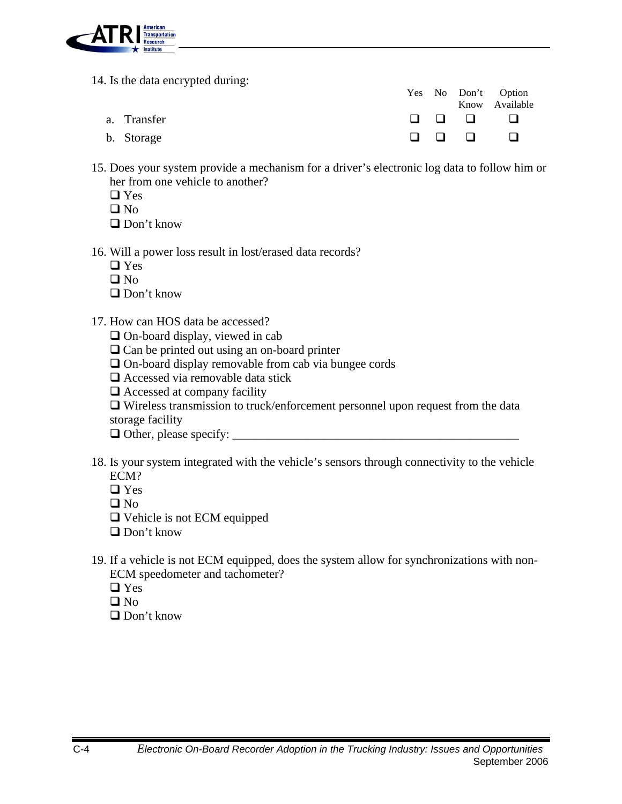

14. Is the data encrypted during:

|             |  | Yes No Don't Option |
|-------------|--|---------------------|
|             |  | Know Available      |
| a. Transfer |  |                     |
| b. Storage  |  |                     |

- 15. Does your system provide a mechanism for a driver's electronic log data to follow him or her from one vehicle to another?
	- □ Yes
	- $\Box$  No

□ Don't know

- 16. Will a power loss result in lost/erased data records?
	- □ Yes
	- $\Box$  No
	- $\Box$  Don't know
- 17. How can HOS data be accessed?
	- $\Box$  On-board display, viewed in cab
	- □ Can be printed out using an on-board printer
	- On-board display removable from cab via bungee cords
	- $\Box$  Accessed via removable data stick
	- □ Accessed at company facility

 $\Box$  Wireless transmission to truck/enforcement personnel upon request from the data storage facility

Other, please specify: \_\_\_\_\_\_\_\_\_\_\_\_\_\_\_\_\_\_\_\_\_\_\_\_\_\_\_\_\_\_\_\_\_\_\_\_\_\_\_\_\_\_\_\_\_\_\_

- 18. Is your system integrated with the vehicle's sensors through connectivity to the vehicle ECM?
	- $\Box$  Yes
	- $\Box$  No
	- Vehicle is not ECM equipped
	- □ Don't know
- 19. If a vehicle is not ECM equipped, does the system allow for synchronizations with non-ECM speedometer and tachometer?
	- □ Yes
	- $\Box$  No
	- □ Don't know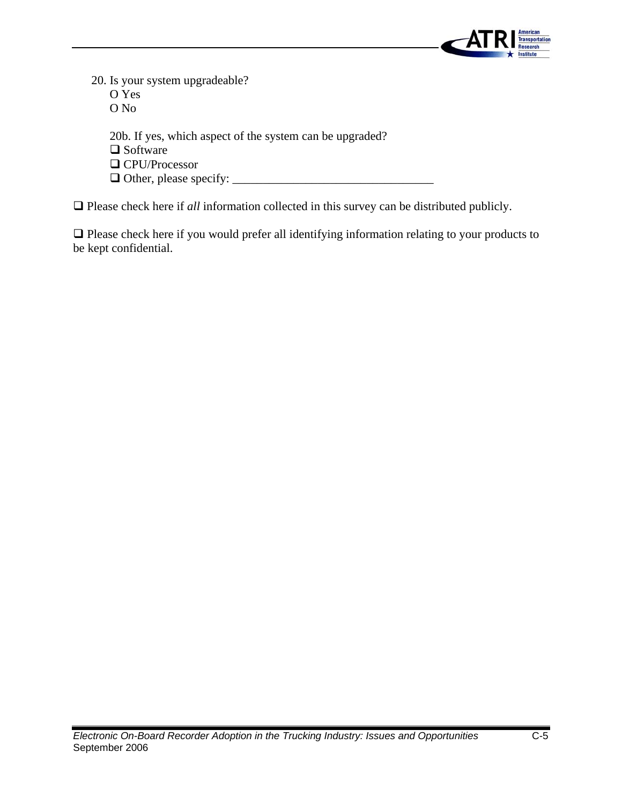

20. Is your system upgradeable? O Yes O No 20b. If yes, which aspect of the system can be upgraded? □ Software □ CPU/Processor  $\Box$  Other, please specify:

 $\Box$  Please check here if *all* information collected in this survey can be distributed publicly.

 Please check here if you would prefer all identifying information relating to your products to be kept confidential.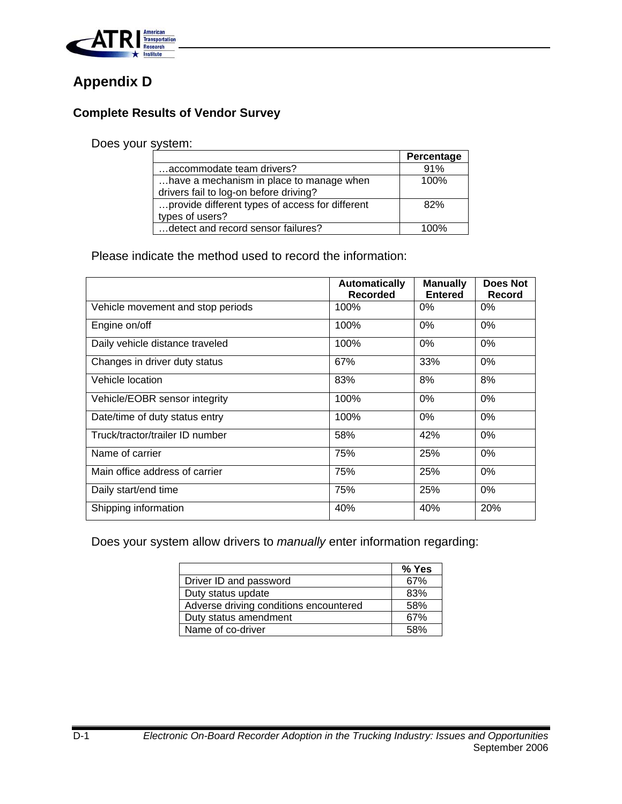

## **Appendix D**

#### **Complete Results of Vendor Survey**

#### Does your system:

|                                                 | Percentage |
|-------------------------------------------------|------------|
| accommodate team drivers?                       | 91%        |
| have a mechanism in place to manage when        | 100%       |
| drivers fail to log-on before driving?          |            |
| provide different types of access for different | 82%        |
| types of users?                                 |            |
| detect and record sensor failures?              | 100%       |

Please indicate the method used to record the information:

|                                   | <b>Automatically</b><br><b>Recorded</b> | <b>Manually</b><br><b>Entered</b> | Does Not<br><b>Record</b> |
|-----------------------------------|-----------------------------------------|-----------------------------------|---------------------------|
| Vehicle movement and stop periods | 100%                                    | $0\%$                             | $0\%$                     |
| Engine on/off                     | 100%                                    | $0\%$                             | $0\%$                     |
| Daily vehicle distance traveled   | 100%                                    | 0%                                | $0\%$                     |
| Changes in driver duty status     | 67%                                     | 33%                               | $0\%$                     |
| Vehicle location                  | 83%                                     | 8%                                | 8%                        |
| Vehicle/EOBR sensor integrity     | 100%                                    | 0%                                | 0%                        |
| Date/time of duty status entry    | 100%                                    | $0\%$                             | $0\%$                     |
| Truck/tractor/trailer ID number   | 58%                                     | 42%                               | $0\%$                     |
| Name of carrier                   | 75%                                     | 25%                               | $0\%$                     |
| Main office address of carrier    | 75%                                     | 25%                               | $0\%$                     |
| Daily start/end time              | 75%                                     | 25%                               | $0\%$                     |
| Shipping information              | 40%                                     | 40%                               | 20%                       |

Does your system allow drivers to *manually* enter information regarding:

|                                        | % Yes |
|----------------------------------------|-------|
| Driver ID and password                 | 67%   |
| Duty status update                     | 83%   |
| Adverse driving conditions encountered | 58%   |
| Duty status amendment                  | 67%   |
| Name of co-driver                      | 58%   |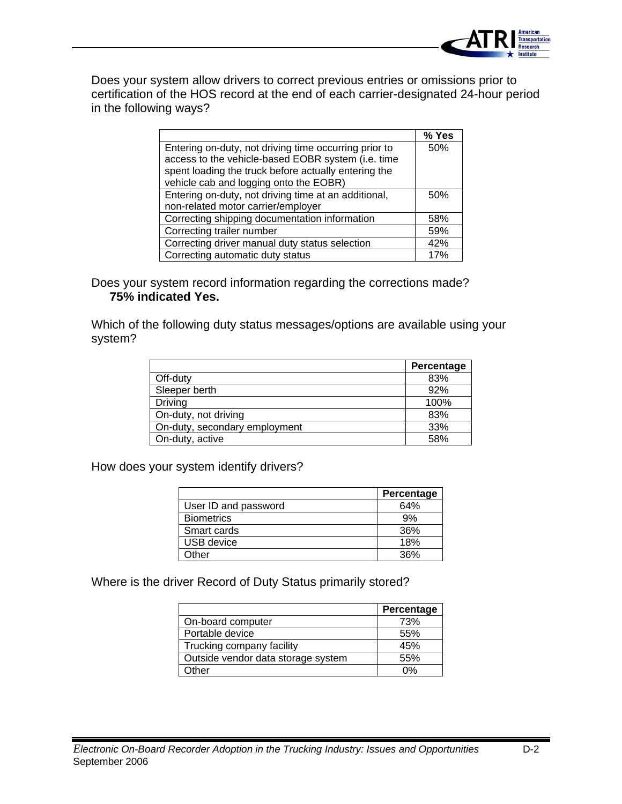

Does your system allow drivers to correct previous entries or omissions prior to certification of the HOS record at the end of each carrier-designated 24-hour period in the following ways?

|                                                       | % Yes |
|-------------------------------------------------------|-------|
| Entering on-duty, not driving time occurring prior to | 50%   |
| access to the vehicle-based EOBR system (i.e. time    |       |
| spent loading the truck before actually entering the  |       |
| vehicle cab and logging onto the EOBR)                |       |
| Entering on-duty, not driving time at an additional,  | 50%   |
| non-related motor carrier/employer                    |       |
| Correcting shipping documentation information         | 58%   |
| Correcting trailer number                             | 59%   |
| Correcting driver manual duty status selection        | 42%   |
| Correcting automatic duty status                      | 17%   |

Does your system record information regarding the corrections made? **75% indicated Yes.** 

Which of the following duty status messages/options are available using your system?

|                               | Percentage |
|-------------------------------|------------|
| Off-duty                      | 83%        |
| Sleeper berth                 | 92%        |
| <b>Driving</b>                | 100%       |
| On-duty, not driving          | 83%        |
| On-duty, secondary employment | 33%        |
| On-duty, active               | 58%        |

How does your system identify drivers?

|                      | Percentage  |
|----------------------|-------------|
| User ID and password | 64%         |
| <b>Biometrics</b>    | 9%          |
| Smart cards          | 36%         |
| <b>USB</b> device    | 18%         |
| <b>Other</b>         | <b>2GO/</b> |

Where is the driver Record of Duty Status primarily stored?

|                                    | Percentage |
|------------------------------------|------------|
| On-board computer                  | 73%        |
| Portable device                    | 55%        |
| Trucking company facility          | 45%        |
| Outside vendor data storage system | 55%        |
| )ther                              | ሰ%         |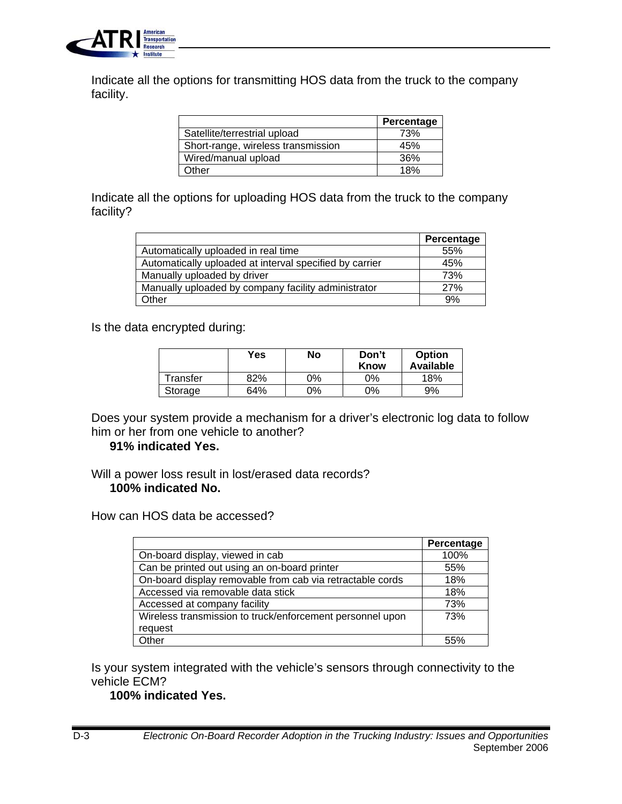

Indicate all the options for transmitting HOS data from the truck to the company facility.

|                                    | Percentage |
|------------------------------------|------------|
| Satellite/terrestrial upload       | 73%        |
| Short-range, wireless transmission | 45%        |
| Wired/manual upload                | 36%        |
| <b>Other</b>                       | 18%        |

Indicate all the options for uploading HOS data from the truck to the company facility?

|                                                         | Percentage |
|---------------------------------------------------------|------------|
| Automatically uploaded in real time                     | 55%        |
| Automatically uploaded at interval specified by carrier | 45%        |
| Manually uploaded by driver                             | 73%        |
| Manually uploaded by company facility administrator     | 27%        |
| Other                                                   | 9%         |

Is the data encrypted during:

|          | Yes | No | Don't<br>Know | <b>Option</b><br><b>Available</b> |
|----------|-----|----|---------------|-----------------------------------|
| Transfer | 82% | ገ% | 0%            | 18%                               |
| Storage  | 64% | ገ% | 0%            | 9%                                |

Does your system provide a mechanism for a driver's electronic log data to follow him or her from one vehicle to another?

#### **91% indicated Yes.**

Will a power loss result in lost/erased data records? **100% indicated No.** 

How can HOS data be accessed?

|                                                           | Percentage |
|-----------------------------------------------------------|------------|
| On-board display, viewed in cab                           | 100%       |
| Can be printed out using an on-board printer              | 55%        |
| On-board display removable from cab via retractable cords | 18%        |
| Accessed via removable data stick                         | 18%        |
| Accessed at company facility                              | 73%        |
| Wireless transmission to truck/enforcement personnel upon | 73%        |
| request                                                   |            |
| Other                                                     | 55%        |

Is your system integrated with the vehicle's sensors through connectivity to the vehicle ECM?

#### **100% indicated Yes.**